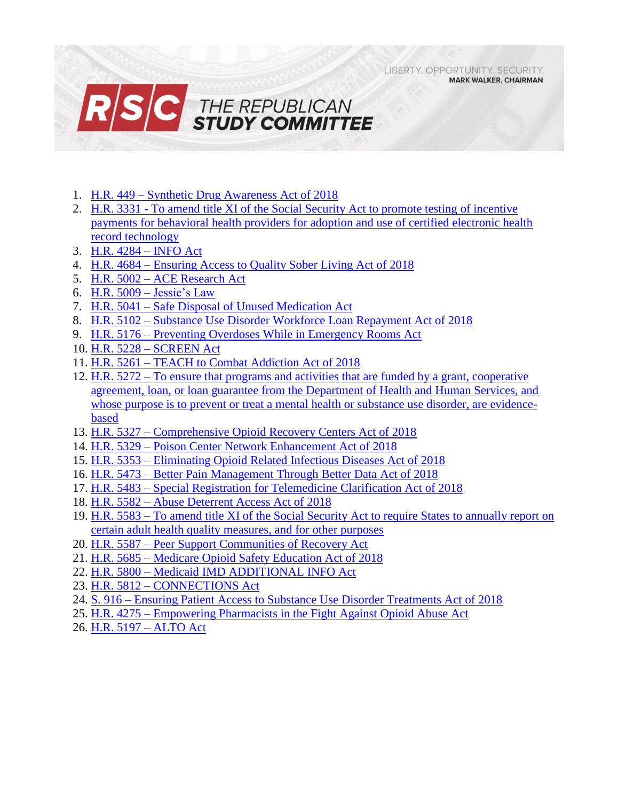LIBERTY, OPPORTUNITY, SECURITY, **MARK WALKER, CHAIRMAN** 



- 1. H.R. 449 [Synthetic Drug Awareness Act of 2018](#page-1-0)
- 2. H.R. 3331 [To amend title XI of the Social Security Act to promote testing of incentive](#page-2-0)  [payments for behavioral health providers for adoption and use of certified electronic health](#page-2-0)  [record technology](#page-2-0)
- 3. [H.R. 4284 –](#page-4-0) INFO Act
- 4. H.R. 4684 [Ensuring Access to Quality Sober Living Act of 2018](#page-5-0)
- 5. H.R. 5002 [ACE Research Act](#page-6-0)
- 6. H.R. 5009 [Jessie's Law](#page-7-0)
- 7. H.R. 5041 [Safe Disposal of Unused Medication Act](#page-8-0)
- 8. H.R. 5102 [Substance Use Disorder Workforce Loan Repayment Act of 2018](#page-9-0)
- 9. H.R. 5176 [Preventing Overdoses While in Emergency Rooms Act](#page-11-0)
- 10. H.R. 5228 [SCREEN Act](#page-13-0)
- 11. H.R. 5261 [TEACH to Combat Addiction Act of 2018](#page-15-0)
- 12. H.R. 5272 [To ensure that programs and activities that](#page-16-0) are funded by a grant, cooperative [agreement, loan, or loan guarantee from the Department of Health and Human Services, and](#page-16-0)  [whose purpose is to prevent or treat a mental health or substance use disorder, are evidence](#page-16-0)[based](#page-16-0)
- 13. H.R. 5327 [Comprehensive Opioid Recovery Centers Act of 2018](#page-17-0)
- 14. H.R. 5329 [Poison Center Network Enhancement Act of 2018](#page-18-0)
- 15. H.R. 5353 [Eliminating Opioid Related Infectious Diseases Act of 2018](#page-19-0)
- 16. H.R. 5473 [Better Pain Management Through Better Data Act of 2018](#page-21-0)
- 17. H.R. 5483 [Special Registration for Telemedicine Clarification Act of 2018](#page-22-0)
- 18. H.R. 5582 [Abuse Deterrent Access Act of 2018](#page-23-0)
- 19. H.R. 5583 To amend title XI of the Social Security Act to require States to annually report on [certain adult health quality measures, and for other purposes](#page-24-0)
- 20. H.R. 5587 [Peer Support Communities of Recovery Act](#page-25-0)
- 21. H.R. 5685 [Medicare Opioid Safety Education Act of 2018](#page-26-0)
- 22. H.R. 5800 [Medicaid IMD ADDITIONAL INFO Act](#page-27-0)
- 23. H.R. 5812 [CONNECTIONS Act](#page-28-0)
- 24. S. 916 [Ensuring Patient Access to Substance Use Disorder Treatments Act of 2018](#page-30-0)
- 25. H.R. 4275 [Empowering Pharmacists in the Fight Against Opioid Abuse Act](#page-32-0)
- 26. [H.R. 5197 –](#page-33-0) ALTO Act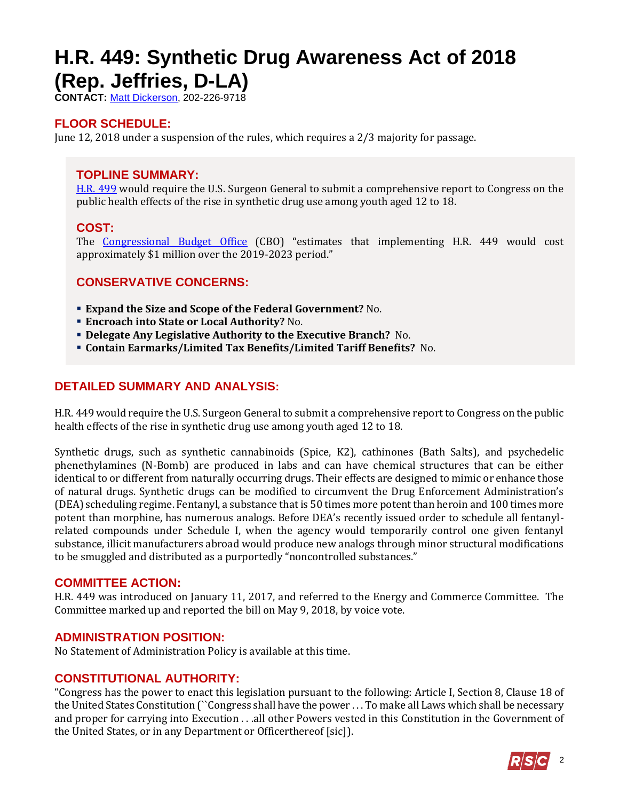## <span id="page-1-0"></span>**H.R. 449: Synthetic Drug Awareness Act of 2018 (Rep. Jeffries, D-LA)**

**CONTACT:** [Matt Dickerson,](mailto:Matthew.Dickerson@mail.house.gov) 202-226-9718

## **FLOOR SCHEDULE:**

June 12, 2018 under a suspension of the rules, which requires a 2/3 majority for passage.

### **TOPLINE SUMMARY:**

[H.R. 499](https://docs.house.gov/billsthisweek/20180611/HR449.pdf) would require the U.S. Surgeon General to submit a comprehensive report to Congress on the public health effects of the rise in synthetic drug use among youth aged 12 to 18.

## **COST:**

The [Congressional Budget Office](https://www.cbo.gov/system/files/115th-congress-2017-2018/costestimate/53949-opioid.pdf) (CBO) "estimates that implementing H.R. 449 would cost approximately \$1 million over the 2019-2023 period."

## **CONSERVATIVE CONCERNS:**

- **Expand the Size and Scope of the Federal Government?** No.
- **Encroach into State or Local Authority?** No.
- **Delegate Any Legislative Authority to the Executive Branch?** No.
- **Contain Earmarks/Limited Tax Benefits/Limited Tariff Benefits?** No.

## **DETAILED SUMMARY AND ANALYSIS:**

H.R. 449 would require the U.S. Surgeon General to submit a comprehensive report to Congress on the public health effects of the rise in synthetic drug use among youth aged 12 to 18.

Synthetic drugs, such as synthetic cannabinoids (Spice, K2), cathinones (Bath Salts), and psychedelic phenethylamines (N-Bomb) are produced in labs and can have chemical structures that can be either identical to or different from naturally occurring drugs. Their effects are designed to mimic or enhance those of natural drugs. Synthetic drugs can be modified to circumvent the Drug Enforcement Administration's (DEA) scheduling regime. Fentanyl, a substance that is 50 times more potent than heroin and 100 times more potent than morphine, has numerous analogs. Before DEA's recently issued order to schedule all fentanylrelated compounds under Schedule I, when the agency would temporarily control one given fentanyl substance, illicit manufacturers abroad would produce new analogs through minor structural modifications to be smuggled and distributed as a purportedly "noncontrolled substances."

#### **COMMITTEE ACTION:**

H.R. 449 was introduced on January 11, 2017, and referred to the Energy and Commerce Committee. The Committee marked up and reported the bill on May 9, 2018, by voice vote.

#### **ADMINISTRATION POSITION:**

No Statement of Administration Policy is available at this time.

## **CONSTITUTIONAL AUTHORITY:**

"Congress has the power to enact this legislation pursuant to the following: Article I, Section 8, Clause 18 of the United States Constitution (``Congress shall have the power . . . To make all Laws which shall be necessary and proper for carrying into Execution . . .all other Powers vested in this Constitution in the Government of the United States, or in any Department or Officerthereof [sic]).

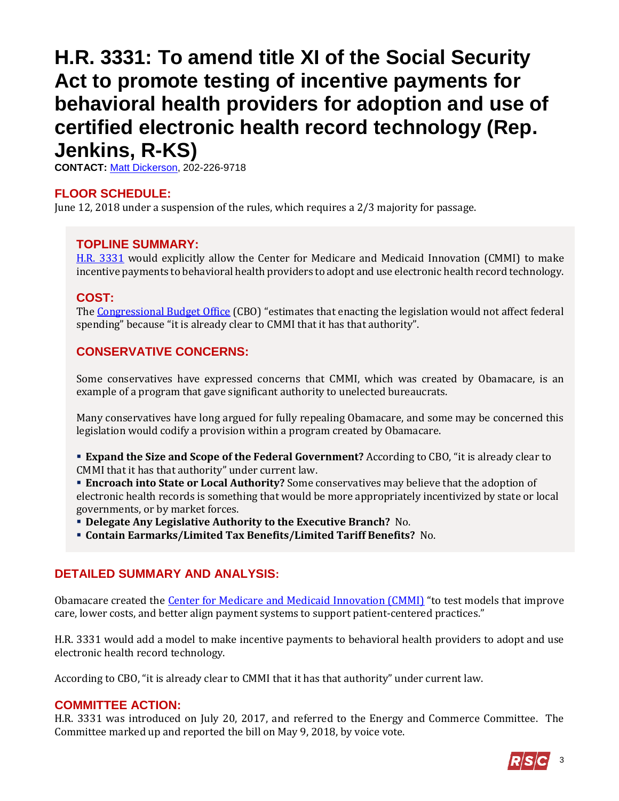## <span id="page-2-0"></span>**H.R. 3331: To amend title XI of the Social Security Act to promote testing of incentive payments for behavioral health providers for adoption and use of certified electronic health record technology (Rep. Jenkins, R-KS)**

**CONTACT:** [Matt Dickerson,](mailto:Matthew.Dickerson@mail.house.gov) 202-226-9718

## **FLOOR SCHEDULE:**

June 12, 2018 under a suspension of the rules, which requires a 2/3 majority for passage.

#### **TOPLINE SUMMARY:**

[H.R. 3331](https://docs.house.gov/billsthisweek/20180611/HR3331.pdf) would explicitly allow the Center for Medicare and Medicaid Innovation (CMMI) to make incentive payments to behavioral health providers to adopt and use electronic health record technology.

### **COST:**

The [Congressional Budget Office](https://www.cbo.gov/system/files/115th-congress-2017-2018/costestimate/53949-opioid.pdf) (CBO) "estimates that enacting the legislation would not affect federal spending" because "it is already clear to CMMI that it has that authority".

## **CONSERVATIVE CONCERNS:**

Some conservatives have expressed concerns that CMMI, which was created by Obamacare, is an example of a program that gave significant authority to unelected bureaucrats.

Many conservatives have long argued for fully repealing Obamacare, and some may be concerned this legislation would codify a provision within a program created by Obamacare.

 **Expand the Size and Scope of the Federal Government?** According to CBO, "it is already clear to CMMI that it has that authority" under current law.

 **Encroach into State or Local Authority?** Some conservatives may believe that the adoption of electronic health records is something that would be more appropriately incentivized by state or local governments, or by market forces.

**Delegate Any Legislative Authority to the Executive Branch?** No.

**Contain Earmarks/Limited Tax Benefits/Limited Tariff Benefits?** No.

## **DETAILED SUMMARY AND ANALYSIS:**

Obamacare created the *Center for Medicare and Medicaid Innovation (CMMI)* "to test models that improve care, lower costs, and better align payment systems to support patient-centered practices."

H.R. 3331 would add a model to make incentive payments to behavioral health providers to adopt and use electronic health record technology.

According to CBO, "it is already clear to CMMI that it has that authority" under current law.

#### **COMMITTEE ACTION:**

H.R. 3331 was introduced on July 20, 2017, and referred to the Energy and Commerce Committee. The Committee marked up and reported the bill on May 9, 2018, by voice vote.

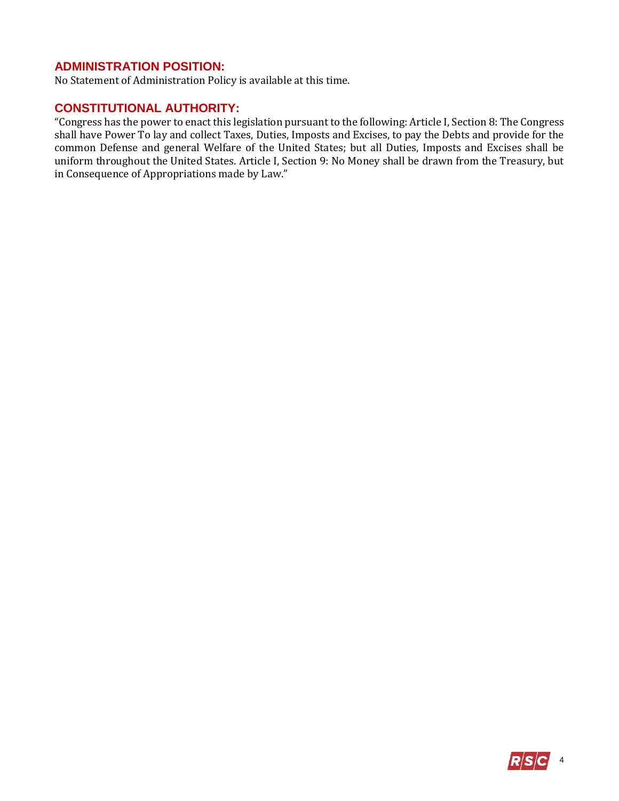## **ADMINISTRATION POSITION:**

No Statement of Administration Policy is available at this time.

## **CONSTITUTIONAL AUTHORITY:**

"Congress has the power to enact this legislation pursuant to the following: Article I, Section 8: The Congress shall have Power To lay and collect Taxes, Duties, Imposts and Excises, to pay the Debts and provide for the common Defense and general Welfare of the United States; but all Duties, Imposts and Excises shall be uniform throughout the United States. Article I, Section 9: No Money shall be drawn from the Treasury, but in Consequence of Appropriations made by Law."

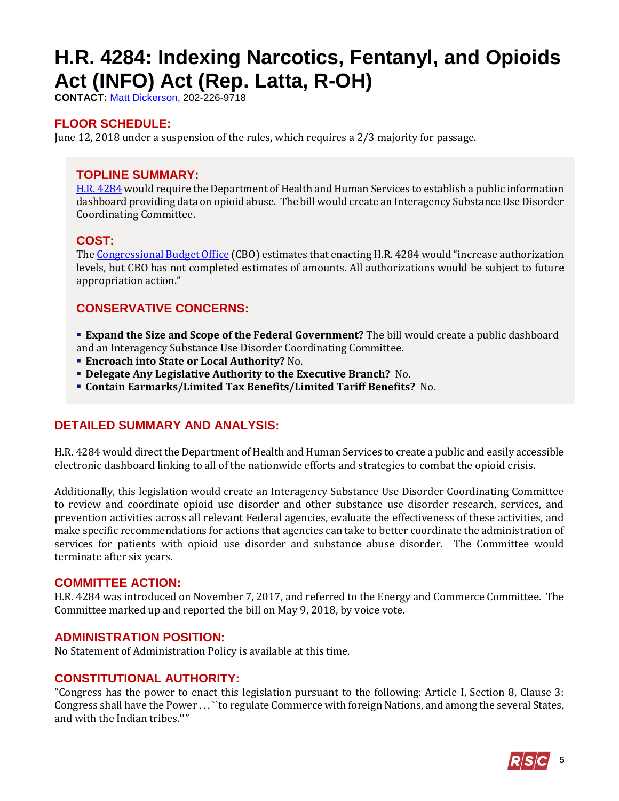# <span id="page-4-0"></span>**H.R. 4284: Indexing Narcotics, Fentanyl, and Opioids Act (INFO) Act (Rep. Latta, R-OH)**

**CONTACT:** [Matt Dickerson,](mailto:Matthew.Dickerson@mail.house.gov) 202-226-9718

## **FLOOR SCHEDULE:**

June 12, 2018 under a suspension of the rules, which requires a 2/3 majority for passage.

## **TOPLINE SUMMARY:**

[H.R. 4284](https://docs.house.gov/billsthisweek/20180611/HR4284.pdf) would require the Department of Health and Human Services to establish a public information dashboard providing data on opioid abuse. The bill would create an Interagency Substance Use Disorder Coordinating Committee.

### **COST:**

Th[e Congressional Budget Office](https://www.cbo.gov/system/files/115th-congress-2017-2018/costestimate/53949-opioid.pdf) (CBO) estimates that enacting H.R. 4284 would "increase authorization levels, but CBO has not completed estimates of amounts. All authorizations would be subject to future appropriation action."

## **CONSERVATIVE CONCERNS:**

 **Expand the Size and Scope of the Federal Government?** The bill would create a public dashboard and an Interagency Substance Use Disorder Coordinating Committee.

- **Encroach into State or Local Authority?** No.
- **Delegate Any Legislative Authority to the Executive Branch?** No.
- **Contain Earmarks/Limited Tax Benefits/Limited Tariff Benefits?** No.

## **DETAILED SUMMARY AND ANALYSIS:**

H.R. 4284 would direct the Department of Health and Human Services to create a public and easily accessible electronic dashboard linking to all of the nationwide efforts and strategies to combat the opioid crisis.

Additionally, this legislation would create an Interagency Substance Use Disorder Coordinating Committee to review and coordinate opioid use disorder and other substance use disorder research, services, and prevention activities across all relevant Federal agencies, evaluate the effectiveness of these activities, and make specific recommendations for actions that agencies can take to better coordinate the administration of services for patients with opioid use disorder and substance abuse disorder. The Committee would terminate after six years.

#### **COMMITTEE ACTION:**

H.R. 4284 was introduced on November 7, 2017, and referred to the Energy and Commerce Committee. The Committee marked up and reported the bill on May 9, 2018, by voice vote.

#### **ADMINISTRATION POSITION:**

No Statement of Administration Policy is available at this time.

#### **CONSTITUTIONAL AUTHORITY:**

"Congress has the power to enact this legislation pursuant to the following: Article I, Section 8, Clause 3: Congress shall have the Power . . . ``to regulate Commerce with foreign Nations, and among the several States, and with the Indian tribes.''"

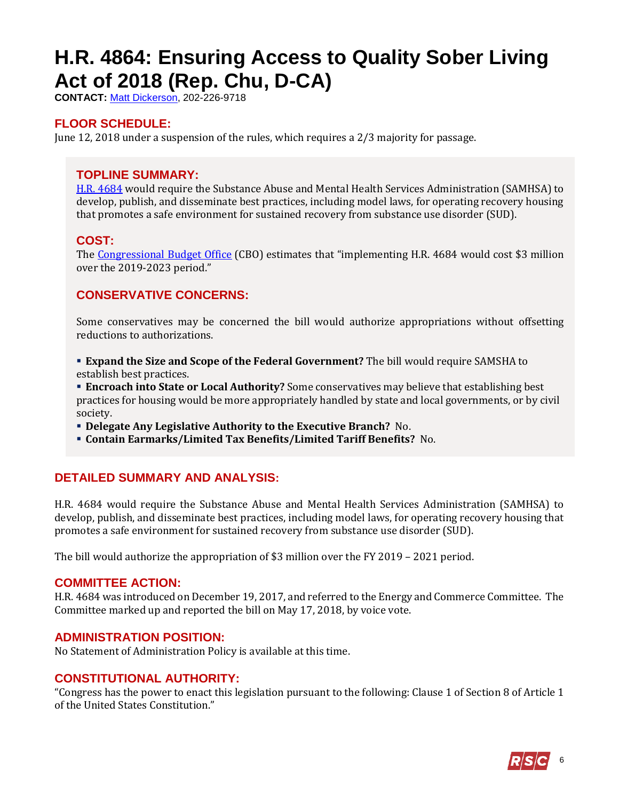# <span id="page-5-0"></span>**H.R. 4864: Ensuring Access to Quality Sober Living Act of 2018 (Rep. Chu, D-CA)**

**CONTACT:** [Matt Dickerson,](mailto:Matthew.Dickerson@mail.house.gov) 202-226-9718

## **FLOOR SCHEDULE:**

June 12, 2018 under a suspension of the rules, which requires a 2/3 majority for passage.

## **TOPLINE SUMMARY:**

[H.R. 4684](https://docs.house.gov/billsthisweek/20180611/HR4684.pdf) would require the Substance Abuse and Mental Health Services Administration (SAMHSA) to develop, publish, and disseminate best practices, including model laws, for operating recovery housing that promotes a safe environment for sustained recovery from substance use disorder (SUD).

## **COST:**

The [Congressional Budget Office](https://www.cbo.gov/system/files/115th-congress-2017-2018/costestimate/53949-opioid.pdf) (CBO) estimates that "implementing H.R. 4684 would cost \$3 million over the 2019-2023 period."

## **CONSERVATIVE CONCERNS:**

Some conservatives may be concerned the bill would authorize appropriations without offsetting reductions to authorizations.

- **Expand the Size and Scope of the Federal Government?** The bill would require SAMSHA to establish best practices.
- **Encroach into State or Local Authority?** Some conservatives may believe that establishing best practices for housing would be more appropriately handled by state and local governments, or by civil society.
- **Delegate Any Legislative Authority to the Executive Branch?** No.
- **Contain Earmarks/Limited Tax Benefits/Limited Tariff Benefits?** No.

## **DETAILED SUMMARY AND ANALYSIS:**

H.R. 4684 would require the Substance Abuse and Mental Health Services Administration (SAMHSA) to develop, publish, and disseminate best practices, including model laws, for operating recovery housing that promotes a safe environment for sustained recovery from substance use disorder (SUD).

The bill would authorize the appropriation of \$3 million over the FY 2019 – 2021 period.

#### **COMMITTEE ACTION:**

H.R. 4684 was introduced on December 19, 2017, and referred to the Energy and Commerce Committee. The Committee marked up and reported the bill on May 17, 2018, by voice vote.

#### **ADMINISTRATION POSITION:**

No Statement of Administration Policy is available at this time.

## **CONSTITUTIONAL AUTHORITY:**

"Congress has the power to enact this legislation pursuant to the following: Clause 1 of Section 8 of Article 1 of the United States Constitution."

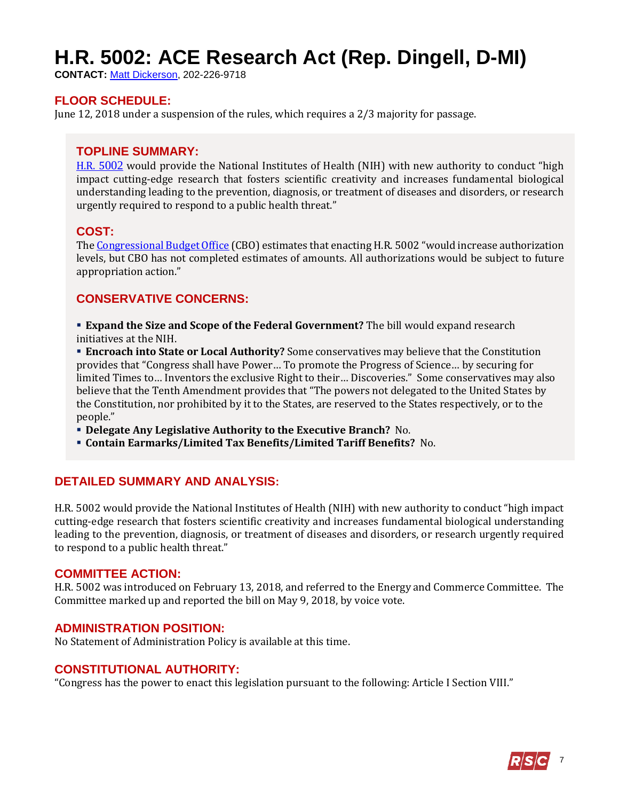# <span id="page-6-0"></span>**H.R. 5002: ACE Research Act (Rep. Dingell, D-MI)**

**CONTACT:** [Matt Dickerson,](mailto:Matthew.Dickerson@mail.house.gov) 202-226-9718

#### **FLOOR SCHEDULE:**

June 12, 2018 under a suspension of the rules, which requires a 2/3 majority for passage.

#### **TOPLINE SUMMARY:**

[H.R. 5](https://docs.house.gov/billsthisweek/20180611/HR5002.pdf)002 would provide the National Institutes of Health (NIH) with new authority to conduct "high impact cutting-edge research that fosters scientific creativity and increases fundamental biological understanding leading to the prevention, diagnosis, or treatment of diseases and disorders, or research urgently required to respond to a public health threat."

#### **COST:**

Th[e Congressional Budget Office](https://www.cbo.gov/system/files/115th-congress-2017-2018/costestimate/53949-opioid.pdf) (CBO) estimates that enacting H.R. 5002 "would increase authorization levels, but CBO has not completed estimates of amounts. All authorizations would be subject to future appropriation action."

### **CONSERVATIVE CONCERNS:**

 **Expand the Size and Scope of the Federal Government?** The bill would expand research initiatives at the NIH.

**Encroach into State or Local Authority?** Some conservatives may believe that the Constitution provides that "Congress shall have Power… To promote the Progress of Science… by securing for limited Times to… Inventors the exclusive Right to their… Discoveries." Some conservatives may also believe that the Tenth Amendment provides that "The powers not delegated to the United States by the Constitution, nor prohibited by it to the States, are reserved to the States respectively, or to the people."

- **Delegate Any Legislative Authority to the Executive Branch?** No.
- **Contain Earmarks/Limited Tax Benefits/Limited Tariff Benefits?** No.

#### **DETAILED SUMMARY AND ANALYSIS:**

H.R. 5002 would provide the National Institutes of Health (NIH) with new authority to conduct "high impact cutting-edge research that fosters scientific creativity and increases fundamental biological understanding leading to the prevention, diagnosis, or treatment of diseases and disorders, or research urgently required to respond to a public health threat."

#### **COMMITTEE ACTION:**

H.R. 5002 was introduced on February 13, 2018, and referred to the Energy and Commerce Committee. The Committee marked up and reported the bill on May 9, 2018, by voice vote.

#### **ADMINISTRATION POSITION:**

No Statement of Administration Policy is available at this time.

#### **CONSTITUTIONAL AUTHORITY:**

"Congress has the power to enact this legislation pursuant to the following: Article I Section VIII."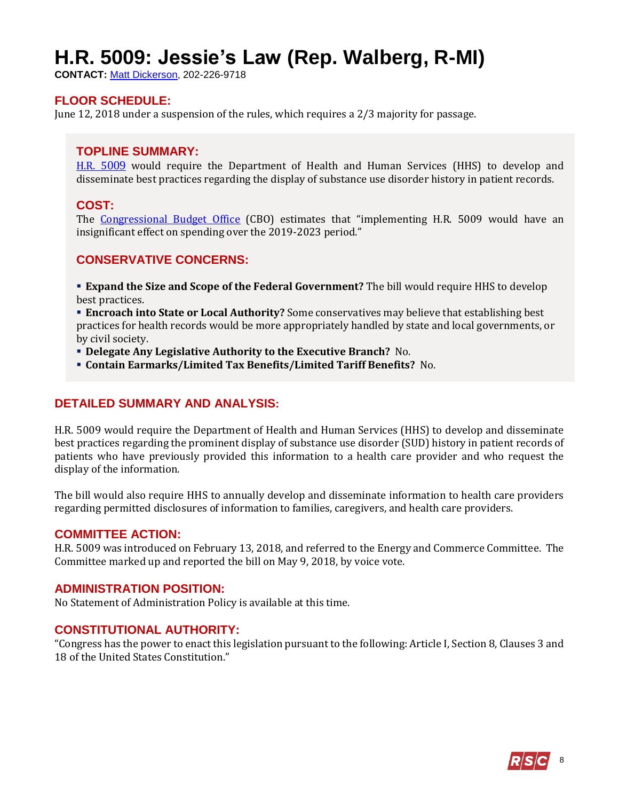## <span id="page-7-0"></span>**H.R. 5009: Jessie's Law (Rep. Walberg, R-MI)**

**CONTACT:** [Matt Dickerson,](mailto:Matthew.Dickerson@mail.house.gov) 202-226-9718

#### **FLOOR SCHEDULE:**

June 12, 2018 under a suspension of the rules, which requires a 2/3 majority for passage.

#### **TOPLINE SUMMARY:**

[H.R. 5](https://docs.house.gov/billsthisweek/20180611/HR5009.pdf)009 would require the Department of Health and Human Services (HHS) to develop and disseminate best practices regarding the display of substance use disorder history in patient records.

#### **COST:**

The [Congressional Budget Office](https://www.cbo.gov/system/files/115th-congress-2017-2018/costestimate/53949-opioid.pdf) (CBO) estimates that "implementing H.R. 5009 would have an insignificant effect on spending over the 2019-2023 period."

#### **CONSERVATIVE CONCERNS:**

 **Expand the Size and Scope of the Federal Government?** The bill would require HHS to develop best practices.

 **Encroach into State or Local Authority?** Some conservatives may believe that establishing best practices for health records would be more appropriately handled by state and local governments, or by civil society.

- **Delegate Any Legislative Authority to the Executive Branch?** No.
- **Contain Earmarks/Limited Tax Benefits/Limited Tariff Benefits?** No.

#### **DETAILED SUMMARY AND ANALYSIS:**

H.R. 5009 would require the Department of Health and Human Services (HHS) to develop and disseminate best practices regarding the prominent display of substance use disorder (SUD) history in patient records of patients who have previously provided this information to a health care provider and who request the display of the information.

The bill would also require HHS to annually develop and disseminate information to health care providers regarding permitted disclosures of information to families, caregivers, and health care providers.

#### **COMMITTEE ACTION:**

H.R. 5009 was introduced on February 13, 2018, and referred to the Energy and Commerce Committee. The Committee marked up and reported the bill on May 9, 2018, by voice vote.

#### **ADMINISTRATION POSITION:**

No Statement of Administration Policy is available at this time.

#### **CONSTITUTIONAL AUTHORITY:**

"Congress has the power to enact this legislation pursuant to the following: Article I, Section 8, Clauses 3 and 18 of the United States Constitution."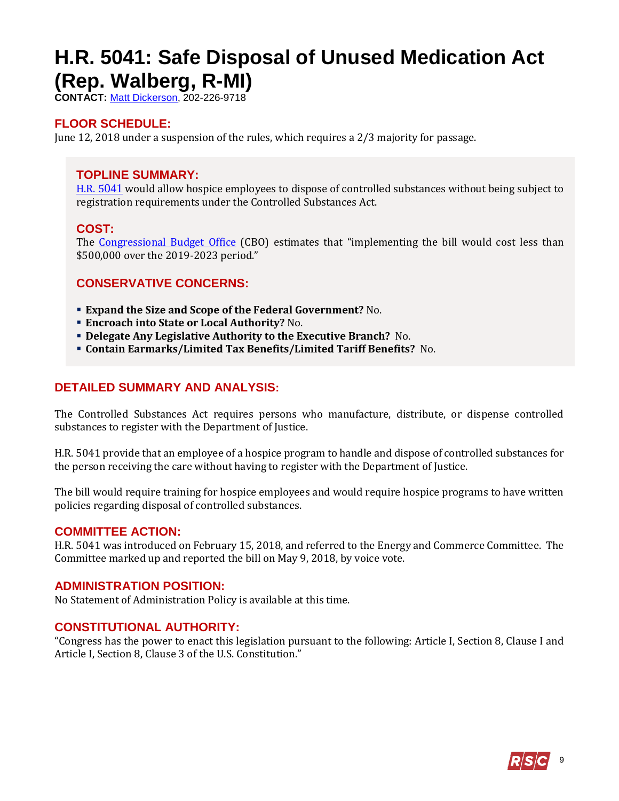## <span id="page-8-0"></span>**H.R. 5041: Safe Disposal of Unused Medication Act (Rep. Walberg, R-MI)**

**CONTACT:** [Matt Dickerson,](mailto:Matthew.Dickerson@mail.house.gov) 202-226-9718

## **FLOOR SCHEDULE:**

June 12, 2018 under a suspension of the rules, which requires a 2/3 majority for passage.

## **TOPLINE SUMMARY:**

[H.R. 5](https://docs.house.gov/billsthisweek/20180611/HR5041.pdf)041 would allow hospice employees to dispose of controlled substances without being subject to registration requirements under the Controlled Substances Act.

## **COST:**

The [Congressional Budget Office](https://www.cbo.gov/system/files/115th-congress-2017-2018/costestimate/53949-opioid.pdf) (CBO) estimates that "implementing the bill would cost less than \$500,000 over the 2019-2023 period."

## **CONSERVATIVE CONCERNS:**

- **Expand the Size and Scope of the Federal Government?** No.
- **Encroach into State or Local Authority?** No.
- **Delegate Any Legislative Authority to the Executive Branch?** No.
- **Contain Earmarks/Limited Tax Benefits/Limited Tariff Benefits?** No.

### **DETAILED SUMMARY AND ANALYSIS:**

The Controlled Substances Act requires persons who manufacture, distribute, or dispense controlled substances to register with the Department of Justice.

H.R. 5041 provide that an employee of a hospice program to handle and dispose of controlled substances for the person receiving the care without having to register with the Department of Justice.

The bill would require training for hospice employees and would require hospice programs to have written policies regarding disposal of controlled substances.

#### **COMMITTEE ACTION:**

H.R. 5041 was introduced on February 15, 2018, and referred to the Energy and Commerce Committee. The Committee marked up and reported the bill on May 9, 2018, by voice vote.

#### **ADMINISTRATION POSITION:**

No Statement of Administration Policy is available at this time.

#### **CONSTITUTIONAL AUTHORITY:**

"Congress has the power to enact this legislation pursuant to the following: Article I, Section 8, Clause I and Article I, Section 8, Clause 3 of the U.S. Constitution."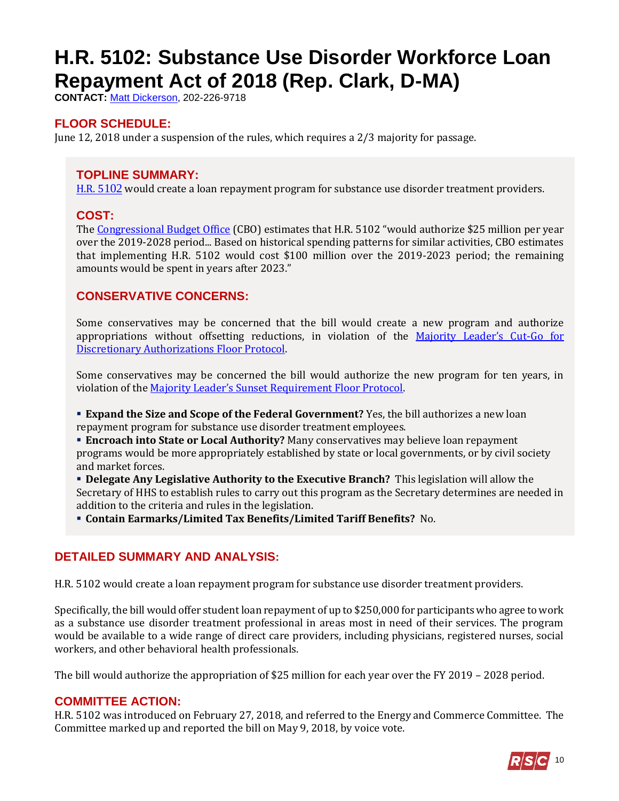# <span id="page-9-0"></span>**H.R. 5102: Substance Use Disorder Workforce Loan Repayment Act of 2018 (Rep. Clark, D-MA)**

**CONTACT:** [Matt Dickerson,](mailto:Matthew.Dickerson@mail.house.gov) 202-226-9718

## **FLOOR SCHEDULE:**

June 12, 2018 under a suspension of the rules, which requires a 2/3 majority for passage.

## **TOPLINE SUMMARY:**

[H.R. 5](https://docs.house.gov/billsthisweek/20180611/HR5102.pdf)102 would create a loan repayment program for substance use disorder treatment providers.

### **COST:**

The [Congressional Budget Office](https://www.cbo.gov/system/files/115th-congress-2017-2018/costestimate/53949-opioid.pdf) (CBO) estimates that H.R. 5102 "would authorize \$25 million per year over the 2019-2028 period... Based on historical spending patterns for similar activities, CBO estimates that implementing H.R. 5102 would cost \$100 million over the 2019-2023 period; the remaining amounts would be spent in years after 2023."

## **CONSERVATIVE CONCERNS:**

Some conservatives may be concerned that the bill would create a new program and authorize appropriations without offsetting reductions, in violation of the [Majority Leader's Cut](https://www.majorityleader.gov/protocols/)-Go for [Discretionary Authorizations Floor Protocol.](https://www.majorityleader.gov/protocols/)

Some conservatives may be concerned the bill would authorize the new program for ten years, in violation of the [Majority Leader's Sunset Requirement Floor Protoco](https://www.majorityleader.gov/protocols/)l.

**Expand the Size and Scope of the Federal Government?** Yes, the bill authorizes a new loan repayment program for substance use disorder treatment employees.

**Encroach into State or Local Authority?** Many conservatives may believe loan repayment programs would be more appropriately established by state or local governments, or by civil society and market forces.

 **Delegate Any Legislative Authority to the Executive Branch?** This legislation will allow the Secretary of HHS to establish rules to carry out this program as the Secretary determines are needed in addition to the criteria and rules in the legislation.

**Contain Earmarks/Limited Tax Benefits/Limited Tariff Benefits?** No.

## **DETAILED SUMMARY AND ANALYSIS:**

H.R. 5102 would create a loan repayment program for substance use disorder treatment providers.

Specifically, the bill would offer student loan repayment of up to \$250,000 for participants who agree to work as a substance use disorder treatment professional in areas most in need of their services. The program would be available to a wide range of direct care providers, including physicians, registered nurses, social workers, and other behavioral health professionals.

The bill would authorize the appropriation of \$25 million for each year over the FY 2019 – 2028 period.

## **COMMITTEE ACTION:**

H.R. 5102 was introduced on February 27, 2018, and referred to the Energy and Commerce Committee. The Committee marked up and reported the bill on May 9, 2018, by voice vote.

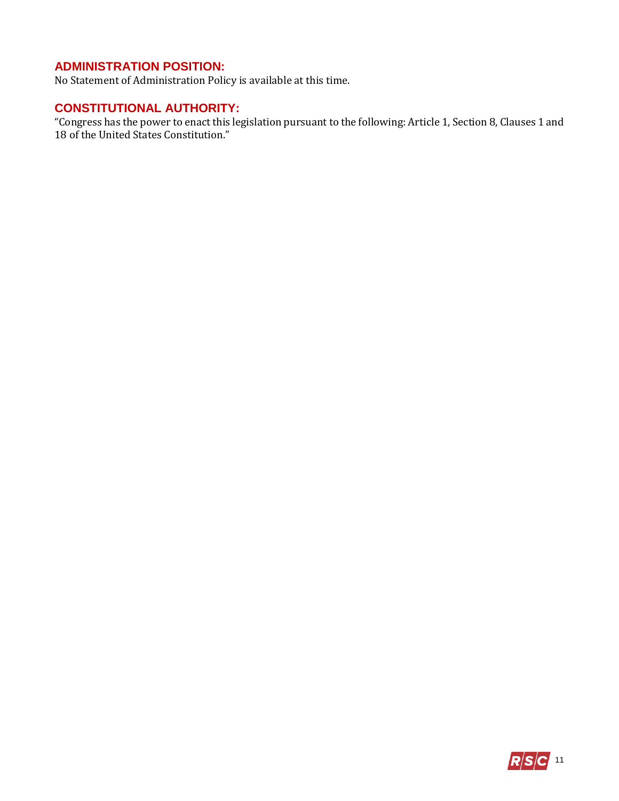## **ADMINISTRATION POSITION:**

No Statement of Administration Policy is available at this time.

## **CONSTITUTIONAL AUTHORITY:**

"Congress has the power to enact this legislation pursuant to the following: Article 1, Section 8, Clauses 1 and 18 of the United States Constitution."

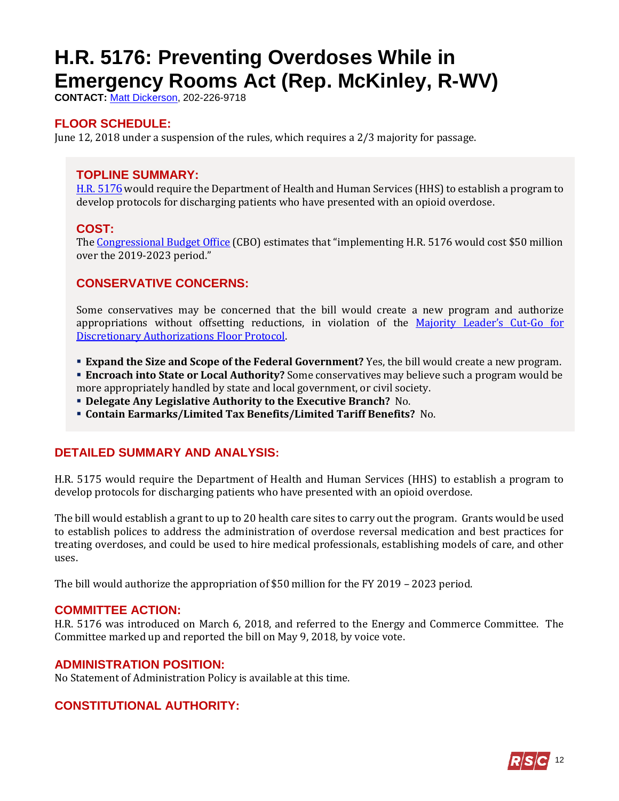# <span id="page-11-0"></span>**H.R. 5176: Preventing Overdoses While in Emergency Rooms Act (Rep. McKinley, R-WV)**

**CONTACT:** [Matt Dickerson,](mailto:Matthew.Dickerson@mail.house.gov) 202-226-9718

## **FLOOR SCHEDULE:**

June 12, 2018 under a suspension of the rules, which requires a 2/3 majority for passage.

## **TOPLINE SUMMARY:**

[H.R. 5](https://docs.house.gov/billsthisweek/20180611/HR5176.pdf)176 would require the Department of Health and Human Services (HHS) to establish a program to develop protocols for discharging patients who have presented with an opioid overdose.

## **COST:**

The [Congressional Budget Office](https://www.cbo.gov/system/files/115th-congress-2017-2018/costestimate/53949-opioid.pdf) (CBO) estimates that "implementing H.R. 5176 would cost \$50 million over the 2019-2023 period."

## **CONSERVATIVE CONCERNS:**

Some conservatives may be concerned that the bill would create a new program and authorize appropriations without offsetting reductions, in violation of the [Majority Leader's Cut](https://www.majorityleader.gov/protocols/)-Go for [Discretionary Authorizations Floor Protocol.](https://www.majorityleader.gov/protocols/)

**Expand the Size and Scope of the Federal Government?** Yes, the bill would create a new program.

 **Encroach into State or Local Authority?** Some conservatives may believe such a program would be more appropriately handled by state and local government, or civil society.

- **Delegate Any Legislative Authority to the Executive Branch?** No.
- **Contain Earmarks/Limited Tax Benefits/Limited Tariff Benefits?** No.

## **DETAILED SUMMARY AND ANALYSIS:**

H.R. 5175 would require the Department of Health and Human Services (HHS) to establish a program to develop protocols for discharging patients who have presented with an opioid overdose.

The bill would establish a grant to up to 20 health care sites to carry out the program. Grants would be used to establish polices to address the administration of overdose reversal medication and best practices for treating overdoses, and could be used to hire medical professionals, establishing models of care, and other uses.

The bill would authorize the appropriation of \$50 million for the FY 2019 – 2023 period.

#### **COMMITTEE ACTION:**

H.R. 5176 was introduced on March 6, 2018, and referred to the Energy and Commerce Committee. The Committee marked up and reported the bill on May 9, 2018, by voice vote.

## **ADMINISTRATION POSITION:**

No Statement of Administration Policy is available at this time.

## **CONSTITUTIONAL AUTHORITY:**

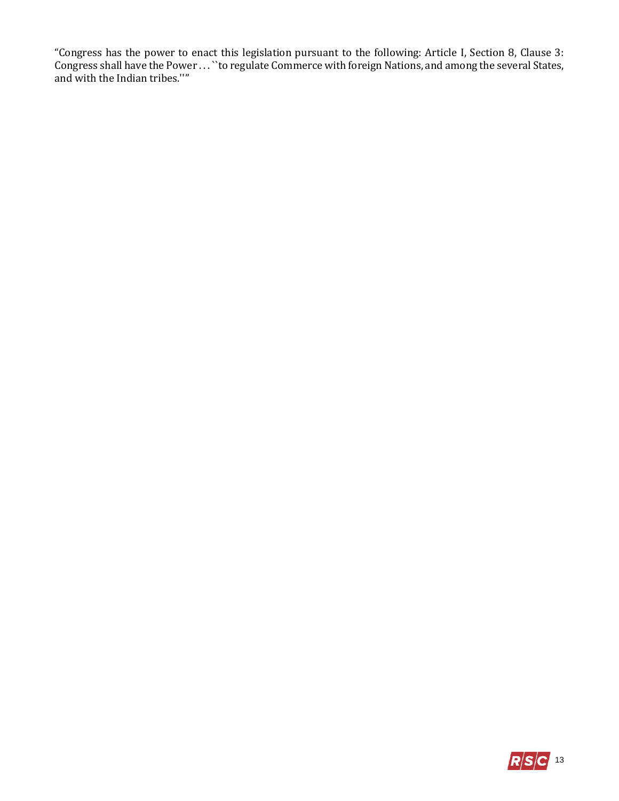"Congress has the power to enact this legislation pursuant to the following: Article I, Section 8, Clause 3: Congress shall have the Power . . . ``to regulate Commerce with foreign Nations, and among the several States, and with the Indian tribes.''"

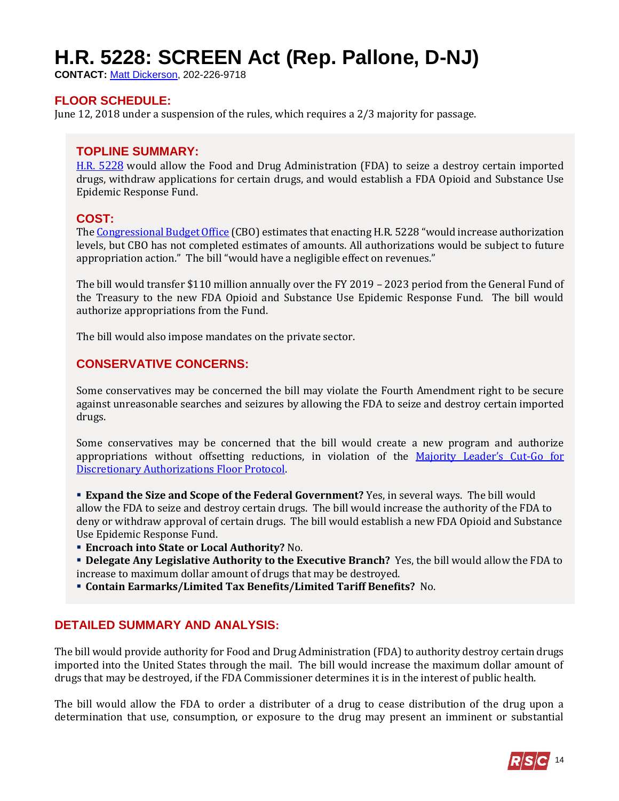# <span id="page-13-0"></span>**H.R. 5228: SCREEN Act (Rep. Pallone, D-NJ)**

**CONTACT:** [Matt Dickerson,](mailto:Matthew.Dickerson@mail.house.gov) 202-226-9718

## **FLOOR SCHEDULE:**

June 12, 2018 under a suspension of the rules, which requires a 2/3 majority for passage.

#### **TOPLINE SUMMARY:**

[H.R. 5](http://docs.house.gov/billsthisweek/20180611/HR5228.pdf)228 would allow the Food and Drug Administration (FDA) to seize a destroy certain imported drugs, withdraw applications for certain drugs, and would establish a FDA Opioid and Substance Use Epidemic Response Fund.

#### **COST:**

Th[e Congressional Budget Office](https://www.cbo.gov/system/files/115th-congress-2017-2018/costestimate/53949-opioid.pdf) (CBO) estimates that enacting H.R. 5228 "would increase authorization levels, but CBO has not completed estimates of amounts. All authorizations would be subject to future appropriation action." The bill "would have a negligible effect on revenues."

The bill would transfer \$110 million annually over the FY 2019 – 2023 period from the General Fund of the Treasury to the new FDA Opioid and Substance Use Epidemic Response Fund. The bill would authorize appropriations from the Fund.

The bill would also impose mandates on the private sector.

## **CONSERVATIVE CONCERNS:**

Some conservatives may be concerned the bill may violate the Fourth Amendment right to be secure against unreasonable searches and seizures by allowing the FDA to seize and destroy certain imported drugs.

Some conservatives may be concerned that the bill would create a new program and authorize appropriations without offsetting reductions, in violation of the [Majority Leader's Cut](https://www.majorityleader.gov/protocols/)-Go for [Discretionary Authorizations Floor Protocol.](https://www.majorityleader.gov/protocols/)

 **Expand the Size and Scope of the Federal Government?** Yes, in several ways. The bill would allow the FDA to seize and destroy certain drugs. The bill would increase the authority of the FDA to deny or withdraw approval of certain drugs. The bill would establish a new FDA Opioid and Substance Use Epidemic Response Fund.

**Encroach into State or Local Authority?** No.

 **Delegate Any Legislative Authority to the Executive Branch?** Yes, the bill would allow the FDA to increase to maximum dollar amount of drugs that may be destroyed.

**Contain Earmarks/Limited Tax Benefits/Limited Tariff Benefits?** No.

## **DETAILED SUMMARY AND ANALYSIS:**

The bill would provide authority for Food and Drug Administration (FDA) to authority destroy certain drugs imported into the United States through the mail. The bill would increase the maximum dollar amount of drugs that may be destroyed, if the FDA Commissioner determines it is in the interest of public health.

The bill would allow the FDA to order a distributer of a drug to cease distribution of the drug upon a determination that use, consumption, or exposure to the drug may present an imminent or substantial

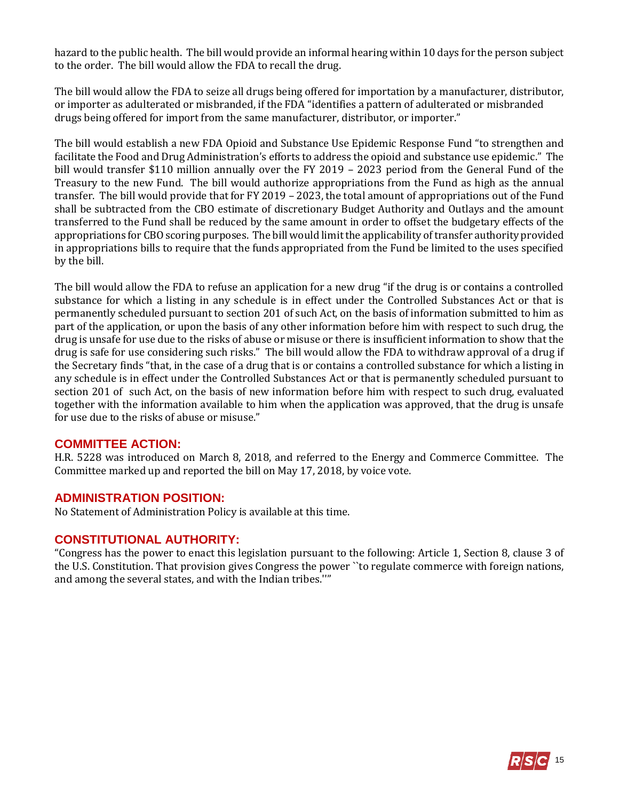hazard to the public health. The bill would provide an informal hearing within 10 days for the person subject to the order. The bill would allow the FDA to recall the drug.

The bill would allow the FDA to seize all drugs being offered for importation by a manufacturer, distributor, or importer as adulterated or misbranded, if the FDA "identifies a pattern of adulterated or misbranded drugs being offered for import from the same manufacturer, distributor, or importer."

The bill would establish a new FDA Opioid and Substance Use Epidemic Response Fund "to strengthen and facilitate the Food and Drug Administration's efforts to address the opioid and substance use epidemic." The bill would transfer \$110 million annually over the FY 2019 – 2023 period from the General Fund of the Treasury to the new Fund. The bill would authorize appropriations from the Fund as high as the annual transfer. The bill would provide that for FY 2019 – 2023, the total amount of appropriations out of the Fund shall be subtracted from the CBO estimate of discretionary Budget Authority and Outlays and the amount transferred to the Fund shall be reduced by the same amount in order to offset the budgetary effects of the appropriations for CBO scoring purposes. The bill would limit the applicability of transfer authority provided in appropriations bills to require that the funds appropriated from the Fund be limited to the uses specified by the bill.

The bill would allow the FDA to refuse an application for a new drug "if the drug is or contains a controlled substance for which a listing in any schedule is in effect under the Controlled Substances Act or that is permanently scheduled pursuant to section 201 of such Act, on the basis of information submitted to him as part of the application, or upon the basis of any other information before him with respect to such drug, the drug is unsafe for use due to the risks of abuse or misuse or there is insufficient information to show that the drug is safe for use considering such risks." The bill would allow the FDA to withdraw approval of a drug if the Secretary finds "that, in the case of a drug that is or contains a controlled substance for which a listing in any schedule is in effect under the Controlled Substances Act or that is permanently scheduled pursuant to section 201 of such Act, on the basis of new information before him with respect to such drug, evaluated together with the information available to him when the application was approved, that the drug is unsafe for use due to the risks of abuse or misuse."

#### **COMMITTEE ACTION:**

H.R. 5228 was introduced on March 8, 2018, and referred to the Energy and Commerce Committee. The Committee marked up and reported the bill on May 17, 2018, by voice vote.

#### **ADMINISTRATION POSITION:**

No Statement of Administration Policy is available at this time.

#### **CONSTITUTIONAL AUTHORITY:**

"Congress has the power to enact this legislation pursuant to the following: Article 1, Section 8, clause 3 of the U.S. Constitution. That provision gives Congress the power ``to regulate commerce with foreign nations, and among the several states, and with the Indian tribes.''"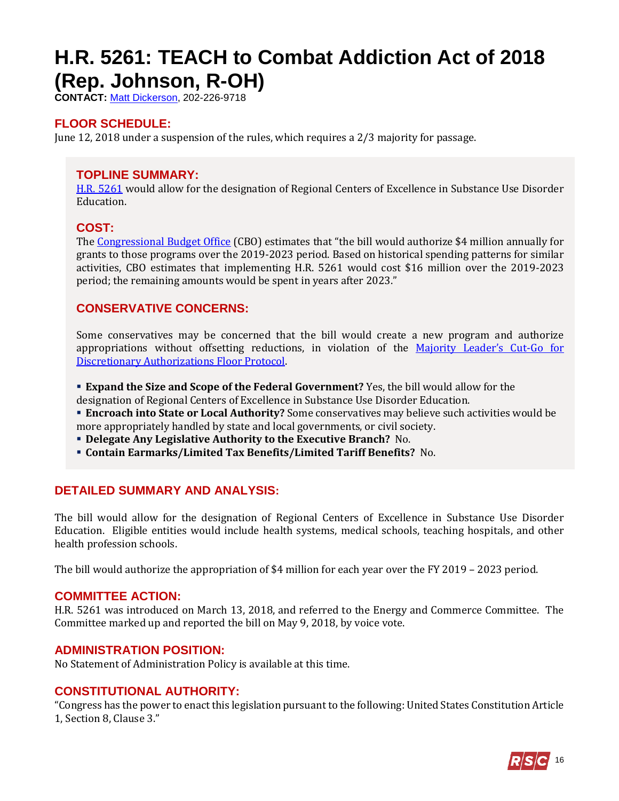## <span id="page-15-0"></span>**H.R. 5261: TEACH to Combat Addiction Act of 2018 (Rep. Johnson, R-OH)**

**CONTACT:** [Matt Dickerson,](mailto:Matthew.Dickerson@mail.house.gov) 202-226-9718

## **FLOOR SCHEDULE:**

June 12, 2018 under a suspension of the rules, which requires a 2/3 majority for passage.

## **TOPLINE SUMMARY:**

[H.R. 5261](https://docs.house.gov/billsthisweek/20180611/HR5261.pdf) would allow for the designation of Regional Centers of Excellence in Substance Use Disorder Education.

### **COST:**

The [Congressional Budget Office](https://www.cbo.gov/system/files/115th-congress-2017-2018/costestimate/53949-opioid.pdf) (CBO) estimates that "the bill would authorize \$4 million annually for grants to those programs over the 2019-2023 period. Based on historical spending patterns for similar activities, CBO estimates that implementing H.R. 5261 would cost \$16 million over the 2019-2023 period; the remaining amounts would be spent in years after 2023."

## **CONSERVATIVE CONCERNS:**

Some conservatives may be concerned that the bill would create a new program and authorize appropriations without offsetting reductions, in violation of the [Majority Leader's Cut](https://www.majorityleader.gov/protocols/)-Go for [Discretionary Authorizations Floor Protocol.](https://www.majorityleader.gov/protocols/)

- **Expand the Size and Scope of the Federal Government?** Yes, the bill would allow for the
- designation of Regional Centers of Excellence in Substance Use Disorder Education.
- **Encroach into State or Local Authority?** Some conservatives may believe such activities would be more appropriately handled by state and local governments, or civil society.
- **Delegate Any Legislative Authority to the Executive Branch?** No.
- **Contain Earmarks/Limited Tax Benefits/Limited Tariff Benefits?** No.

#### **DETAILED SUMMARY AND ANALYSIS:**

The bill would allow for the designation of Regional Centers of Excellence in Substance Use Disorder Education. Eligible entities would include health systems, medical schools, teaching hospitals, and other health profession schools.

The bill would authorize the appropriation of \$4 million for each year over the FY 2019 – 2023 period.

#### **COMMITTEE ACTION:**

H.R. 5261 was introduced on March 13, 2018, and referred to the Energy and Commerce Committee. The Committee marked up and reported the bill on May 9, 2018, by voice vote.

#### **ADMINISTRATION POSITION:**

No Statement of Administration Policy is available at this time.

## **CONSTITUTIONAL AUTHORITY:**

"Congress has the power to enact this legislation pursuant to the following: United States Constitution Article 1, Section 8, Clause 3."

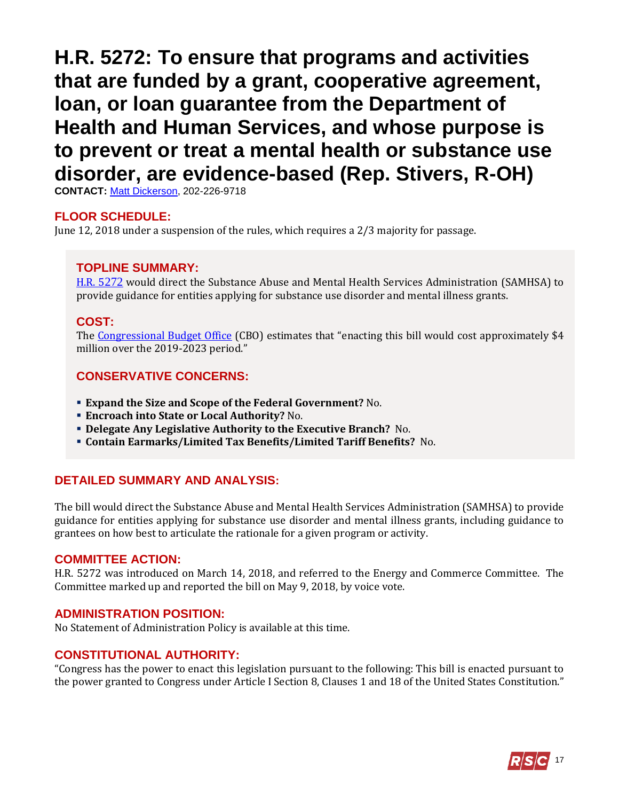## <span id="page-16-0"></span>**H.R. 5272: To ensure that programs and activities that are funded by a grant, cooperative agreement, loan, or loan guarantee from the Department of Health and Human Services, and whose purpose is to prevent or treat a mental health or substance use disorder, are evidence-based (Rep. Stivers, R-OH)**

**CONTACT:** [Matt Dickerson,](mailto:Matthew.Dickerson@mail.house.gov) 202-226-9718

#### **FLOOR SCHEDULE:**

June 12, 2018 under a suspension of the rules, which requires a 2/3 majority for passage.

#### **TOPLINE SUMMARY:**

[H.R. 5](https://docs.house.gov/billsthisweek/20180611/HR5272.pdf)272 would direct the Substance Abuse and Mental Health Services Administration (SAMHSA) to provide guidance for entities applying for substance use disorder and mental illness grants.

#### **COST:**

The [Congressional Budget Office](https://www.cbo.gov/system/files/115th-congress-2017-2018/costestimate/53949-opioid.pdf) (CBO) estimates that "enacting this bill would cost approximately \$4 million over the 2019-2023 period."

#### **CONSERVATIVE CONCERNS:**

- **Expand the Size and Scope of the Federal Government?** No.
- **Encroach into State or Local Authority?** No.
- **Delegate Any Legislative Authority to the Executive Branch?** No.
- **Contain Earmarks/Limited Tax Benefits/Limited Tariff Benefits?** No.

#### **DETAILED SUMMARY AND ANALYSIS:**

The bill would direct the Substance Abuse and Mental Health Services Administration (SAMHSA) to provide guidance for entities applying for substance use disorder and mental illness grants, including guidance to grantees on how best to articulate the rationale for a given program or activity.

#### **COMMITTEE ACTION:**

H.R. 5272 was introduced on March 14, 2018, and referred to the Energy and Commerce Committee. The Committee marked up and reported the bill on May 9, 2018, by voice vote.

#### **ADMINISTRATION POSITION:**

No Statement of Administration Policy is available at this time.

#### **CONSTITUTIONAL AUTHORITY:**

"Congress has the power to enact this legislation pursuant to the following: This bill is enacted pursuant to the power granted to Congress under Article I Section 8, Clauses 1 and 18 of the United States Constitution."

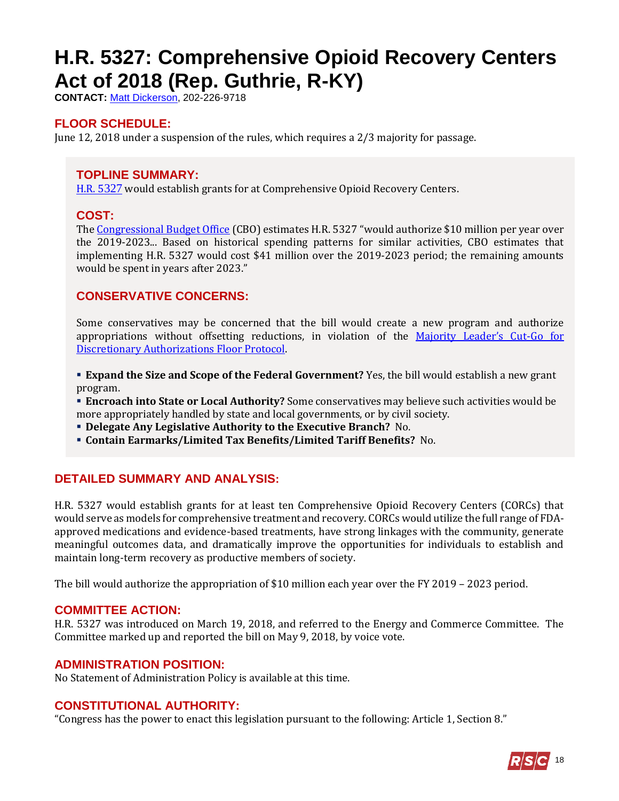# <span id="page-17-0"></span>**H.R. 5327: Comprehensive Opioid Recovery Centers Act of 2018 (Rep. Guthrie, R-KY)**

**CONTACT:** [Matt Dickerson,](mailto:Matthew.Dickerson@mail.house.gov) 202-226-9718

## **FLOOR SCHEDULE:**

June 12, 2018 under a suspension of the rules, which requires a 2/3 majority for passage.

## **TOPLINE SUMMARY:**

[H.R. 5](https://docs.house.gov/billsthisweek/20180611/HR5327.pdf)327 would establish grants for at Comprehensive Opioid Recovery Centers.

## **COST:**

The [Congressional Budget Office](https://www.cbo.gov/system/files/115th-congress-2017-2018/costestimate/53949-opioid.pdf) (CBO) estimates H.R. 5327 "would authorize \$10 million per year over the 2019-2023... Based on historical spending patterns for similar activities, CBO estimates that implementing H.R. 5327 would cost \$41 million over the 2019-2023 period; the remaining amounts would be spent in years after 2023."

## **CONSERVATIVE CONCERNS:**

Some conservatives may be concerned that the bill would create a new program and authorize appropriations without offsetting reductions, in violation of the [Majority Leader's Cut](https://www.majorityleader.gov/protocols/)-Go for [Discretionary Authorizations Floor Protocol.](https://www.majorityleader.gov/protocols/)

**Expand the Size and Scope of the Federal Government?** Yes, the bill would establish a new grant program.

 **Encroach into State or Local Authority?** Some conservatives may believe such activities would be more appropriately handled by state and local governments, or by civil society.

**Delegate Any Legislative Authority to the Executive Branch?** No.

**Contain Earmarks/Limited Tax Benefits/Limited Tariff Benefits?** No.

## **DETAILED SUMMARY AND ANALYSIS:**

H.R. 5327 would establish grants for at least ten Comprehensive Opioid Recovery Centers (CORCs) that would serve as models for comprehensive treatment and recovery. CORCs would utilize the full range of FDAapproved medications and evidence-based treatments, have strong linkages with the community, generate meaningful outcomes data, and dramatically improve the opportunities for individuals to establish and maintain long-term recovery as productive members of society.

The bill would authorize the appropriation of \$10 million each year over the FY 2019 – 2023 period.

#### **COMMITTEE ACTION:**

H.R. 5327 was introduced on March 19, 2018, and referred to the Energy and Commerce Committee. The Committee marked up and reported the bill on May 9, 2018, by voice vote.

#### **ADMINISTRATION POSITION:**

No Statement of Administration Policy is available at this time.

## **CONSTITUTIONAL AUTHORITY:**

"Congress has the power to enact this legislation pursuant to the following: Article 1, Section 8."

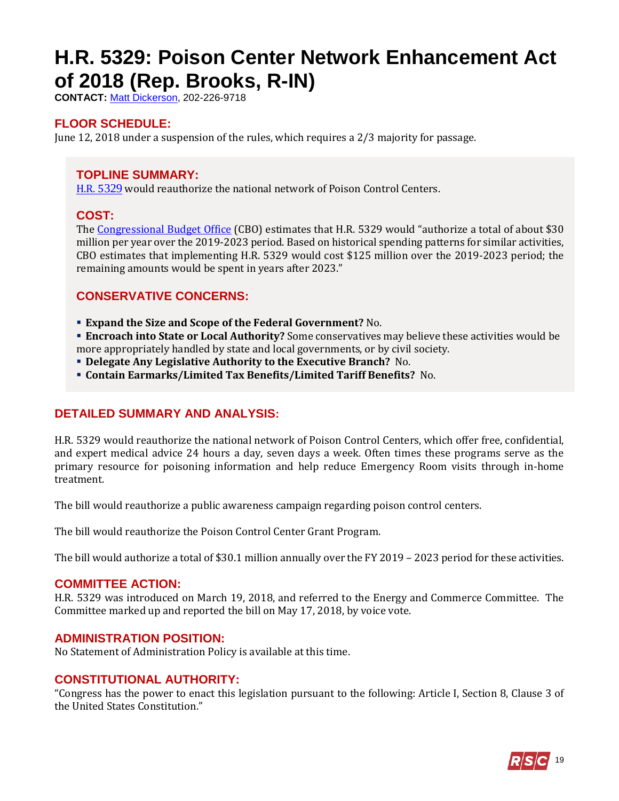# <span id="page-18-0"></span>**H.R. 5329: Poison Center Network Enhancement Act of 2018 (Rep. Brooks, R-IN)**

**CONTACT:** [Matt Dickerson,](mailto:Matthew.Dickerson@mail.house.gov) 202-226-9718

## **FLOOR SCHEDULE:**

June 12, 2018 under a suspension of the rules, which requires a 2/3 majority for passage.

## **TOPLINE SUMMARY:**

[H.R. 5](https://docs.house.gov/billsthisweek/20180611/HR5329.pdf)329 would reauthorize the national network of Poison Control Centers.

### **COST:**

The [Congressional Budget Office](https://www.cbo.gov/system/files/115th-congress-2017-2018/costestimate/53949-opioid.pdf) (CBO) estimates that H.R. 5329 would "authorize a total of about \$30 million per year over the 2019-2023 period. Based on historical spending patterns for similar activities, CBO estimates that implementing H.R. 5329 would cost \$125 million over the 2019-2023 period; the remaining amounts would be spent in years after 2023."

## **CONSERVATIVE CONCERNS:**

- **Expand the Size and Scope of the Federal Government?** No.
- **Encroach into State or Local Authority?** Some conservatives may believe these activities would be more appropriately handled by state and local governments, or by civil society.
- **Delegate Any Legislative Authority to the Executive Branch?** No.
- **Contain Earmarks/Limited Tax Benefits/Limited Tariff Benefits?** No.

## **DETAILED SUMMARY AND ANALYSIS:**

H.R. 5329 would reauthorize the national network of Poison Control Centers, which offer free, confidential, and expert medical advice 24 hours a day, seven days a week. Often times these programs serve as the primary resource for poisoning information and help reduce Emergency Room visits through in-home treatment.

The bill would reauthorize a public awareness campaign regarding poison control centers.

The bill would reauthorize the Poison Control Center Grant Program.

The bill would authorize a total of \$30.1 million annually over the FY 2019 – 2023 period for these activities.

#### **COMMITTEE ACTION:**

H.R. 5329 was introduced on March 19, 2018, and referred to the Energy and Commerce Committee. The Committee marked up and reported the bill on May 17, 2018, by voice vote.

#### **ADMINISTRATION POSITION:**

No Statement of Administration Policy is available at this time.

## **CONSTITUTIONAL AUTHORITY:**

"Congress has the power to enact this legislation pursuant to the following: Article I, Section 8, Clause 3 of the United States Constitution."

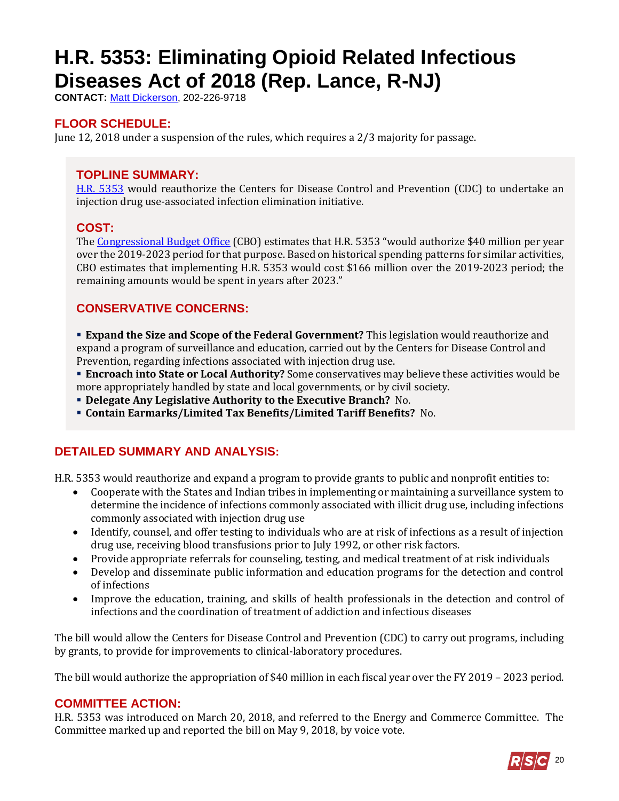# <span id="page-19-0"></span>**H.R. 5353: Eliminating Opioid Related Infectious Diseases Act of 2018 (Rep. Lance, R-NJ)**

**CONTACT:** [Matt Dickerson,](mailto:Matthew.Dickerson@mail.house.gov) 202-226-9718

## **FLOOR SCHEDULE:**

June 12, 2018 under a suspension of the rules, which requires a 2/3 majority for passage.

## **TOPLINE SUMMARY:**

[H.R. 5353](https://docs.house.gov/billsthisweek/20180611/HR5353.pdf) would reauthorize the Centers for Disease Control and Prevention (CDC) to undertake an injection drug use-associated infection elimination initiative.

## **COST:**

The [Congressional Budget Office](https://www.cbo.gov/system/files/115th-congress-2017-2018/costestimate/53949-opioid.pdf) (CBO) estimates that H.R. 5353 "would authorize \$40 million per year over the 2019-2023 period for that purpose. Based on historical spending patterns for similar activities, CBO estimates that implementing H.R. 5353 would cost \$166 million over the 2019-2023 period; the remaining amounts would be spent in years after 2023."

## **CONSERVATIVE CONCERNS:**

 **Expand the Size and Scope of the Federal Government?** This legislation would reauthorize and expand a program of surveillance and education, carried out by the Centers for Disease Control and Prevention, regarding infections associated with injection drug use.

 **Encroach into State or Local Authority?** Some conservatives may believe these activities would be more appropriately handled by state and local governments, or by civil society.

- **Delegate Any Legislative Authority to the Executive Branch?** No.
- **Contain Earmarks/Limited Tax Benefits/Limited Tariff Benefits?** No.

## **DETAILED SUMMARY AND ANALYSIS:**

H.R. 5353 would reauthorize and expand a program to provide grants to public and nonprofit entities to:

- Cooperate with the States and Indian tribes in implementing or maintaining a surveillance system to determine the incidence of infections commonly associated with illicit drug use, including infections commonly associated with injection drug use
- Identify, counsel, and offer testing to individuals who are at risk of infections as a result of injection drug use, receiving blood transfusions prior to July 1992, or other risk factors.
- Provide appropriate referrals for counseling, testing, and medical treatment of at risk individuals
- Develop and disseminate public information and education programs for the detection and control of infections
- Improve the education, training, and skills of health professionals in the detection and control of infections and the coordination of treatment of addiction and infectious diseases

The bill would allow the Centers for Disease Control and Prevention (CDC) to carry out programs, including by grants, to provide for improvements to clinical-laboratory procedures.

The bill would authorize the appropriation of \$40 million in each fiscal year over the FY 2019 – 2023 period.

#### **COMMITTEE ACTION:**

H.R. 5353 was introduced on March 20, 2018, and referred to the Energy and Commerce Committee. The Committee marked up and reported the bill on May 9, 2018, by voice vote.

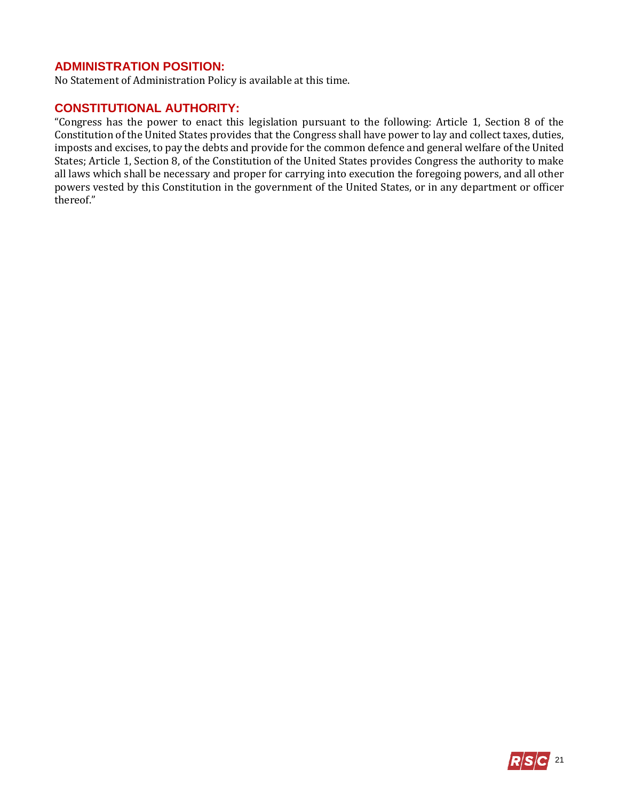## **ADMINISTRATION POSITION:**

No Statement of Administration Policy is available at this time.

## **CONSTITUTIONAL AUTHORITY:**

"Congress has the power to enact this legislation pursuant to the following: Article 1, Section 8 of the Constitution of the United States provides that the Congress shall have power to lay and collect taxes, duties, imposts and excises, to pay the debts and provide for the common defence and general welfare of the United States; Article 1, Section 8, of the Constitution of the United States provides Congress the authority to make all laws which shall be necessary and proper for carrying into execution the foregoing powers, and all other powers vested by this Constitution in the government of the United States, or in any department or officer thereof."

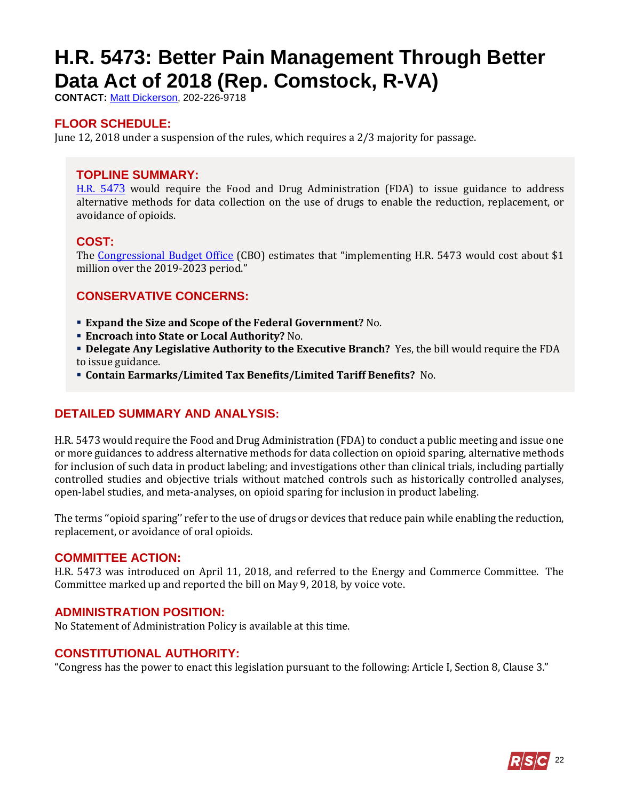# <span id="page-21-0"></span>**H.R. 5473: Better Pain Management Through Better Data Act of 2018 (Rep. Comstock, R-VA)**

**CONTACT:** [Matt Dickerson,](mailto:Matthew.Dickerson@mail.house.gov) 202-226-9718

## **FLOOR SCHEDULE:**

June 12, 2018 under a suspension of the rules, which requires a 2/3 majority for passage.

## **TOPLINE SUMMARY:**

[H.R. 5](http://docs.house.gov/billsthisweek/20180611/HR5473.pdf)473 would require the Food and Drug Administration (FDA) to issue guidance to address alternative methods for data collection on the use of drugs to enable the reduction, replacement, or avoidance of opioids.

## **COST:**

The [Congressional Budget Office](https://www.cbo.gov/system/files/115th-congress-2017-2018/costestimate/53949-opioid.pdf) (CBO) estimates that "implementing H.R. 5473 would cost about \$1 million over the 2019-2023 period."

## **CONSERVATIVE CONCERNS:**

- **Expand the Size and Scope of the Federal Government?** No.
- **Encroach into State or Local Authority?** No.
- **Delegate Any Legislative Authority to the Executive Branch?** Yes, the bill would require the FDA to issue guidance.
- **Contain Earmarks/Limited Tax Benefits/Limited Tariff Benefits?** No.

## **DETAILED SUMMARY AND ANALYSIS:**

H.R. 5473 would require the Food and Drug Administration (FDA) to conduct a public meeting and issue one or more guidances to address alternative methods for data collection on opioid sparing, alternative methods for inclusion of such data in product labeling; and investigations other than clinical trials, including partially controlled studies and objective trials without matched controls such as historically controlled analyses, open-label studies, and meta-analyses, on opioid sparing for inclusion in product labeling.

The terms ''opioid sparing'' refer to the use of drugs or devices that reduce pain while enabling the reduction, replacement, or avoidance of oral opioids.

#### **COMMITTEE ACTION:**

H.R. 5473 was introduced on April 11, 2018, and referred to the Energy and Commerce Committee. The Committee marked up and reported the bill on May 9, 2018, by voice vote.

#### **ADMINISTRATION POSITION:**

No Statement of Administration Policy is available at this time.

## **CONSTITUTIONAL AUTHORITY:**

"Congress has the power to enact this legislation pursuant to the following: Article I, Section 8, Clause 3."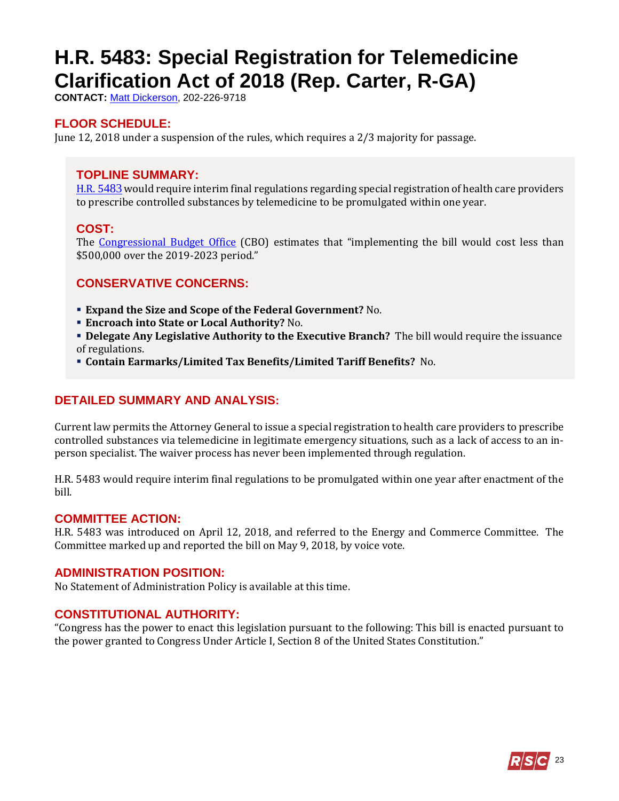## <span id="page-22-0"></span>**H.R. 5483: Special Registration for Telemedicine Clarification Act of 2018 (Rep. Carter, R-GA)**

**CONTACT:** [Matt Dickerson,](mailto:Matthew.Dickerson@mail.house.gov) 202-226-9718

## **FLOOR SCHEDULE:**

June 12, 2018 under a suspension of the rules, which requires a 2/3 majority for passage.

### **TOPLINE SUMMARY:**

[H.R. 5](http://docs.house.gov/billsthisweek/20180611/HR5483.pdf)483 would require interim final regulations regarding special registration of health care providers to prescribe controlled substances by telemedicine to be promulgated within one year.

### **COST:**

The [Congressional Budget Office](https://www.cbo.gov/system/files/115th-congress-2017-2018/costestimate/53949-opioid.pdf) (CBO) estimates that "implementing the bill would cost less than \$500,000 over the 2019-2023 period."

### **CONSERVATIVE CONCERNS:**

- **Expand the Size and Scope of the Federal Government?** No.
- **Encroach into State or Local Authority?** No.
- **Delegate Any Legislative Authority to the Executive Branch?** The bill would require the issuance of regulations.
- **Contain Earmarks/Limited Tax Benefits/Limited Tariff Benefits?** No.

## **DETAILED SUMMARY AND ANALYSIS:**

Current law permits the Attorney General to issue a special registration to health care providers to prescribe controlled substances via telemedicine in legitimate emergency situations, such as a lack of access to an inperson specialist. The waiver process has never been implemented through regulation.

H.R. 5483 would require interim final regulations to be promulgated within one year after enactment of the bill.

#### **COMMITTEE ACTION:**

H.R. 5483 was introduced on April 12, 2018, and referred to the Energy and Commerce Committee. The Committee marked up and reported the bill on May 9, 2018, by voice vote.

#### **ADMINISTRATION POSITION:**

No Statement of Administration Policy is available at this time.

#### **CONSTITUTIONAL AUTHORITY:**

"Congress has the power to enact this legislation pursuant to the following: This bill is enacted pursuant to the power granted to Congress Under Article I, Section 8 of the United States Constitution."

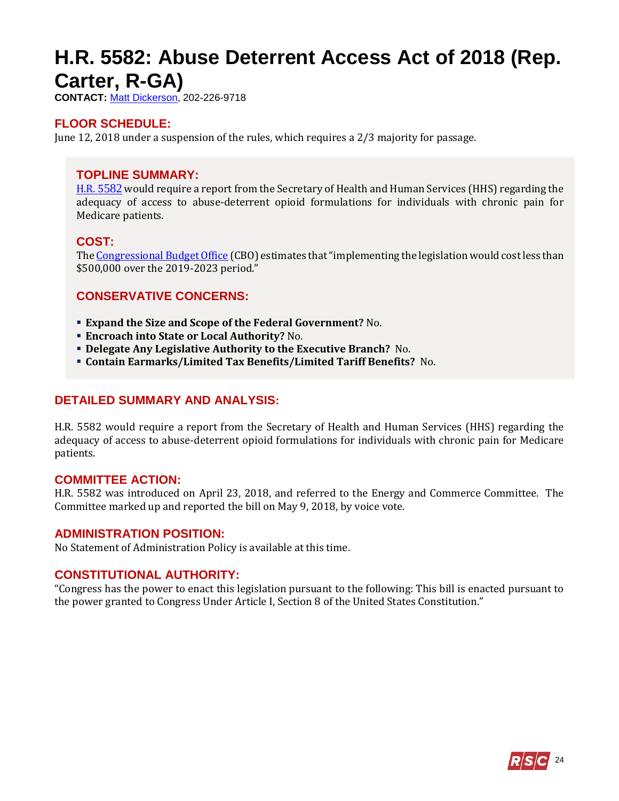## <span id="page-23-0"></span>**H.R. 5582: Abuse Deterrent Access Act of 2018 (Rep. Carter, R-GA)**

**CONTACT:** [Matt Dickerson,](mailto:Matthew.Dickerson@mail.house.gov) 202-226-9718

## **FLOOR SCHEDULE:**

June 12, 2018 under a suspension of the rules, which requires a 2/3 majority for passage.

#### **TOPLINE SUMMARY:**

[H.R. 5](http://docs.house.gov/billsthisweek/20180611/HR5582.pdf)582 would require a report from the Secretary of Health and Human Services (HHS) regarding the adequacy of access to abuse-deterrent opioid formulations for individuals with chronic pain for Medicare patients.

#### **COST:**

Th[e Congressional Budget Office](https://www.cbo.gov/system/files/115th-congress-2017-2018/costestimate/53949-opioid.pdf) (CBO) estimates that "implementing the legislation would cost less than \$500,000 over the 2019-2023 period."

#### **CONSERVATIVE CONCERNS:**

- **Expand the Size and Scope of the Federal Government?** No.
- **Encroach into State or Local Authority?** No.
- **Delegate Any Legislative Authority to the Executive Branch?** No.
- **Contain Earmarks/Limited Tax Benefits/Limited Tariff Benefits?** No.

#### **DETAILED SUMMARY AND ANALYSIS:**

H.R. 5582 would require a report from the Secretary of Health and Human Services (HHS) regarding the adequacy of access to abuse-deterrent opioid formulations for individuals with chronic pain for Medicare patients.

#### **COMMITTEE ACTION:**

H.R. 5582 was introduced on April 23, 2018, and referred to the Energy and Commerce Committee. The Committee marked up and reported the bill on May 9, 2018, by voice vote.

#### **ADMINISTRATION POSITION:**

No Statement of Administration Policy is available at this time.

#### **CONSTITUTIONAL AUTHORITY:**

"Congress has the power to enact this legislation pursuant to the following: This bill is enacted pursuant to the power granted to Congress Under Article I, Section 8 of the United States Constitution."

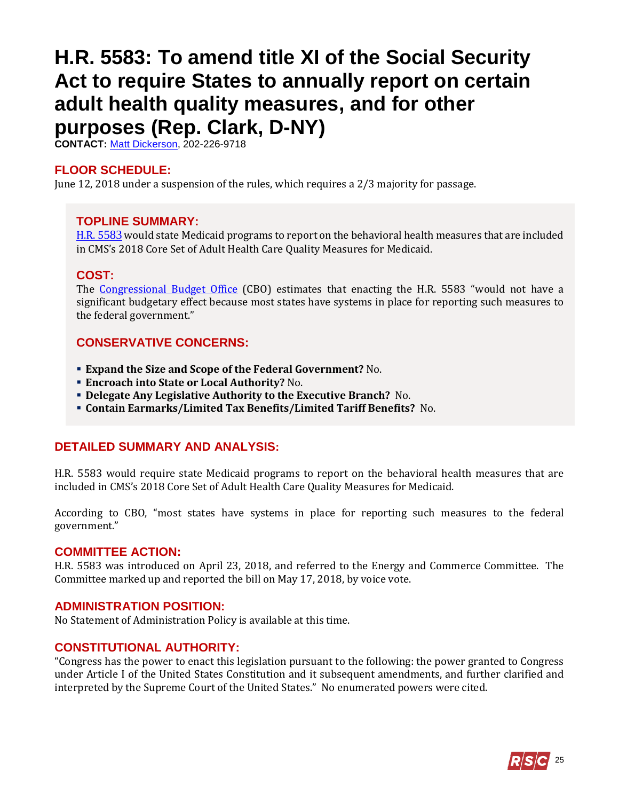## <span id="page-24-0"></span>**H.R. 5583: To amend title XI of the Social Security Act to require States to annually report on certain adult health quality measures, and for other purposes (Rep. Clark, D-NY)**

**CONTACT:** [Matt Dickerson,](mailto:Matthew.Dickerson@mail.house.gov) 202-226-9718

#### **FLOOR SCHEDULE:**

June 12, 2018 under a suspension of the rules, which requires a 2/3 majority for passage.

#### **TOPLINE SUMMARY:**

[H.R. 5](https://docs.house.gov/billsthisweek/20180611/HR5583.pdf)583 would state Medicaid programs to report on the behavioral health measures that are included in CMS's 2018 Core Set of Adult Health Care Quality Measures for Medicaid.

#### **COST:**

The [Congressional Budget Office](https://www.cbo.gov/system/files/115th-congress-2017-2018/costestimate/53949-opioid.pdf) (CBO) estimates that enacting the H.R. 5583 "would not have a significant budgetary effect because most states have systems in place for reporting such measures to the federal government."

### **CONSERVATIVE CONCERNS:**

- **Expand the Size and Scope of the Federal Government?** No.
- **Encroach into State or Local Authority?** No.
- **Delegate Any Legislative Authority to the Executive Branch?** No.
- **Contain Earmarks/Limited Tax Benefits/Limited Tariff Benefits?** No.

#### **DETAILED SUMMARY AND ANALYSIS:**

H.R. 5583 would require state Medicaid programs to report on the behavioral health measures that are included in CMS's 2018 Core Set of Adult Health Care Quality Measures for Medicaid.

According to CBO, "most states have systems in place for reporting such measures to the federal government."

#### **COMMITTEE ACTION:**

H.R. 5583 was introduced on April 23, 2018, and referred to the Energy and Commerce Committee. The Committee marked up and reported the bill on May 17, 2018, by voice vote.

#### **ADMINISTRATION POSITION:**

No Statement of Administration Policy is available at this time.

#### **CONSTITUTIONAL AUTHORITY:**

"Congress has the power to enact this legislation pursuant to the following: the power granted to Congress under Article I of the United States Constitution and it subsequent amendments, and further clarified and interpreted by the Supreme Court of the United States." No enumerated powers were cited.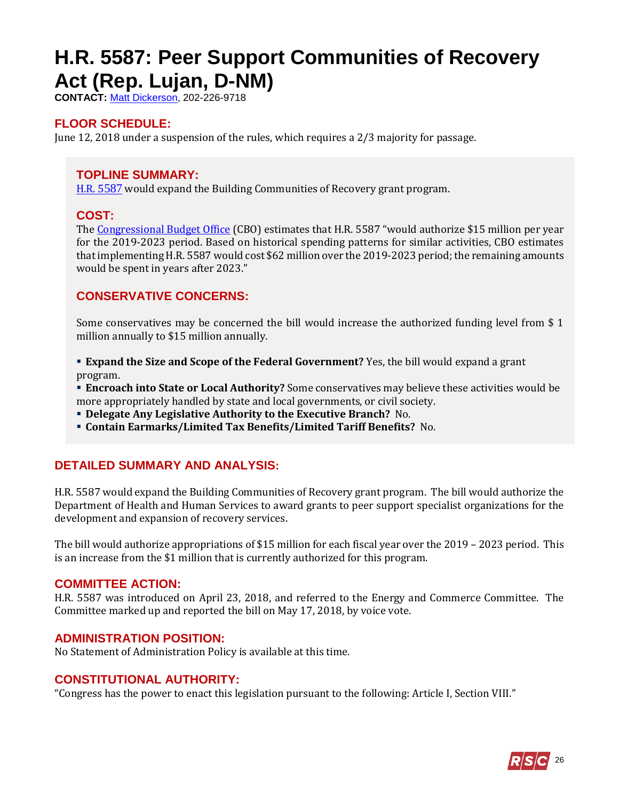## <span id="page-25-0"></span>**H.R. 5587: Peer Support Communities of Recovery Act (Rep. Lujan, D-NM)**

**CONTACT:** [Matt Dickerson,](mailto:Matthew.Dickerson@mail.house.gov) 202-226-9718

## **FLOOR SCHEDULE:**

June 12, 2018 under a suspension of the rules, which requires a 2/3 majority for passage.

## **TOPLINE SUMMARY:**

[H.R. 5](http://docs.house.gov/billsthisweek/20180611/HR5587.pdf)587 would expand the Building Communities of Recovery grant program.

### **COST:**

The [Congressional Budget Office](https://www.cbo.gov/system/files/115th-congress-2017-2018/costestimate/53949-opioid.pdf) (CBO) estimates that H.R. 5587 "would authorize \$15 million per year for the 2019-2023 period. Based on historical spending patterns for similar activities, CBO estimates that implementing H.R. 5587 would cost \$62 million over the 2019-2023 period; the remaining amounts would be spent in years after 2023."

## **CONSERVATIVE CONCERNS:**

Some conservatives may be concerned the bill would increase the authorized funding level from \$ 1 million annually to \$15 million annually.

- **Expand the Size and Scope of the Federal Government?** Yes, the bill would expand a grant program.
- **Encroach into State or Local Authority?** Some conservatives may believe these activities would be more appropriately handled by state and local governments, or civil society.
- **Delegate Any Legislative Authority to the Executive Branch?** No.
- **Contain Earmarks/Limited Tax Benefits/Limited Tariff Benefits?** No.

## **DETAILED SUMMARY AND ANALYSIS:**

H.R. 5587 would expand the Building Communities of Recovery grant program. The bill would authorize the Department of Health and Human Services to award grants to peer support specialist organizations for the development and expansion of recovery services.

The bill would authorize appropriations of \$15 million for each fiscal year over the 2019 – 2023 period. This is an increase from the \$1 million that is currently authorized for this program.

#### **COMMITTEE ACTION:**

H.R. 5587 was introduced on April 23, 2018, and referred to the Energy and Commerce Committee. The Committee marked up and reported the bill on May 17, 2018, by voice vote.

#### **ADMINISTRATION POSITION:**

No Statement of Administration Policy is available at this time.

#### **CONSTITUTIONAL AUTHORITY:**

"Congress has the power to enact this legislation pursuant to the following: Article I, Section VIII."

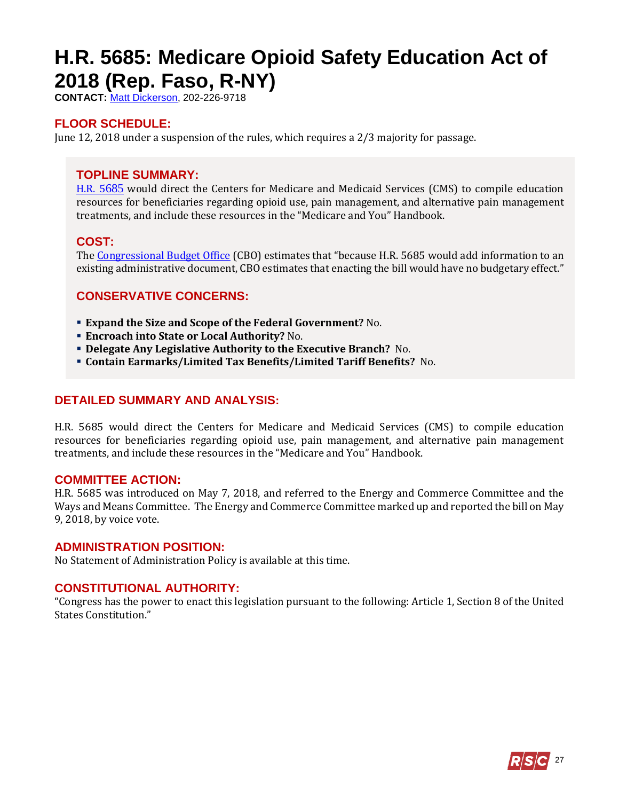# <span id="page-26-0"></span>**H.R. 5685: Medicare Opioid Safety Education Act of 2018 (Rep. Faso, R-NY)**

**CONTACT:** [Matt Dickerson,](mailto:Matthew.Dickerson@mail.house.gov) 202-226-9718

## **FLOOR SCHEDULE:**

June 12, 2018 under a suspension of the rules, which requires a 2/3 majority for passage.

## **TOPLINE SUMMARY:**

[H.R. 5](https://docs.house.gov/billsthisweek/20180611/HR5685.pdf)685 would direct the Centers for Medicare and Medicaid Services (CMS) to compile education resources for beneficiaries regarding opioid use, pain management, and alternative pain management treatments, and include these resources in the "Medicare and You" Handbook.

### **COST:**

The [Congressional Budget Office](https://www.cbo.gov/system/files/115th-congress-2017-2018/costestimate/53949-opioid.pdf) (CBO) estimates that "because H.R. 5685 would add information to an existing administrative document, CBO estimates that enacting the bill would have no budgetary effect."

## **CONSERVATIVE CONCERNS:**

- **Expand the Size and Scope of the Federal Government?** No.
- **Encroach into State or Local Authority?** No.
- **Delegate Any Legislative Authority to the Executive Branch?** No.
- **Contain Earmarks/Limited Tax Benefits/Limited Tariff Benefits?** No.

#### **DETAILED SUMMARY AND ANALYSIS:**

H.R. 5685 would direct the Centers for Medicare and Medicaid Services (CMS) to compile education resources for beneficiaries regarding opioid use, pain management, and alternative pain management treatments, and include these resources in the "Medicare and You" Handbook.

#### **COMMITTEE ACTION:**

H.R. 5685 was introduced on May 7, 2018, and referred to the Energy and Commerce Committee and the Ways and Means Committee. The Energy and Commerce Committee marked up and reported the bill on May 9, 2018, by voice vote.

#### **ADMINISTRATION POSITION:**

No Statement of Administration Policy is available at this time.

#### **CONSTITUTIONAL AUTHORITY:**

"Congress has the power to enact this legislation pursuant to the following: Article 1, Section 8 of the United States Constitution."

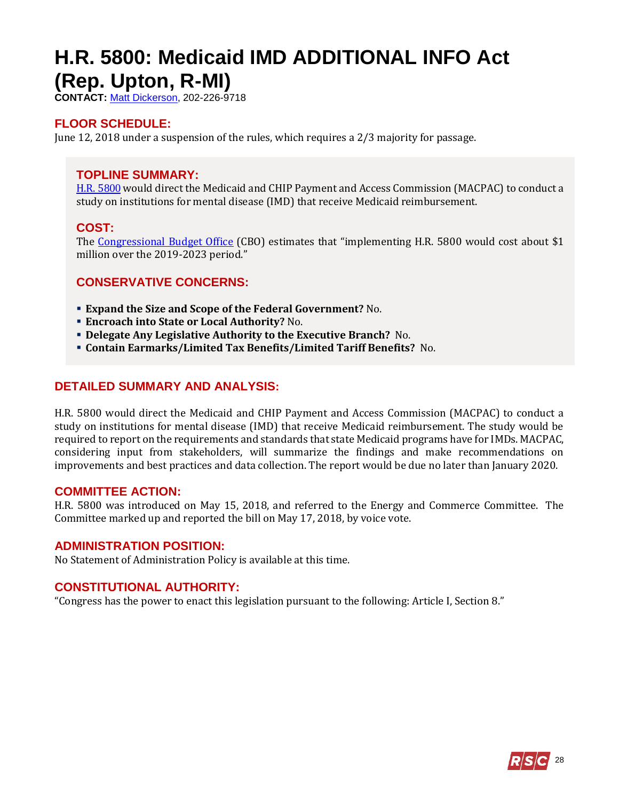## <span id="page-27-0"></span>**H.R. 5800: Medicaid IMD ADDITIONAL INFO Act (Rep. Upton, R-MI)**

**CONTACT:** [Matt Dickerson,](mailto:Matthew.Dickerson@mail.house.gov) 202-226-9718

## **FLOOR SCHEDULE:**

June 12, 2018 under a suspension of the rules, which requires a 2/3 majority for passage.

## **TOPLINE SUMMARY:**

[H.R. 5](https://docs.house.gov/billsthisweek/20180611/HR5800.pdf)800 would direct the Medicaid and CHIP Payment and Access Commission (MACPAC) to conduct a study on institutions for mental disease (IMD) that receive Medicaid reimbursement.

## **COST:**

The [Congressional Budget Office](https://www.cbo.gov/system/files/115th-congress-2017-2018/costestimate/53949-opioid.pdf) (CBO) estimates that "implementing H.R. 5800 would cost about \$1 million over the 2019-2023 period."

## **CONSERVATIVE CONCERNS:**

- **Expand the Size and Scope of the Federal Government?** No.
- **Encroach into State or Local Authority?** No.
- **Delegate Any Legislative Authority to the Executive Branch?** No.
- **Contain Earmarks/Limited Tax Benefits/Limited Tariff Benefits?** No.

## **DETAILED SUMMARY AND ANALYSIS:**

H.R. 5800 would direct the Medicaid and CHIP Payment and Access Commission (MACPAC) to conduct a study on institutions for mental disease (IMD) that receive Medicaid reimbursement. The study would be required to report on the requirements and standards that state Medicaid programs have for IMDs. MACPAC, considering input from stakeholders, will summarize the findings and make recommendations on improvements and best practices and data collection. The report would be due no later than January 2020.

#### **COMMITTEE ACTION:**

H.R. 5800 was introduced on May 15, 2018, and referred to the Energy and Commerce Committee. The Committee marked up and reported the bill on May 17, 2018, by voice vote.

#### **ADMINISTRATION POSITION:**

No Statement of Administration Policy is available at this time.

#### **CONSTITUTIONAL AUTHORITY:**

"Congress has the power to enact this legislation pursuant to the following: Article I, Section 8."

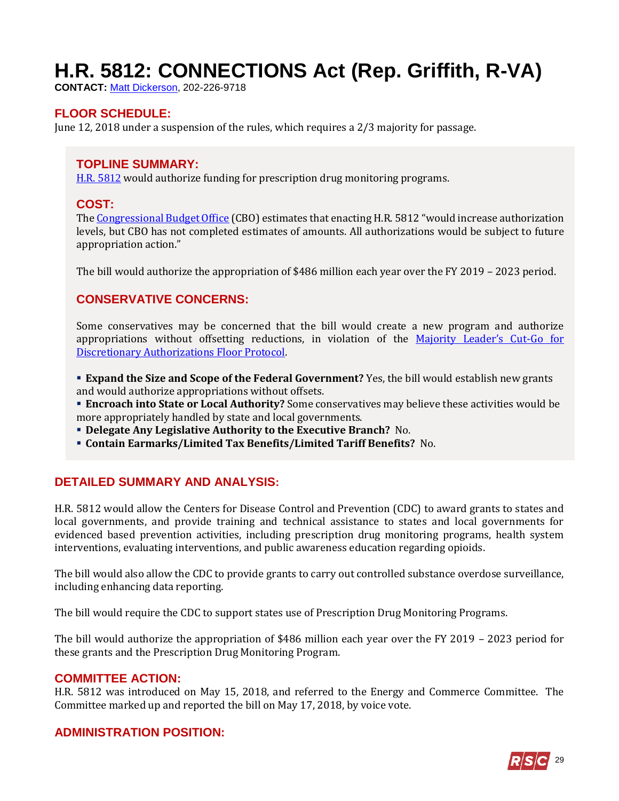# <span id="page-28-0"></span>**H.R. 5812: CONNECTIONS Act (Rep. Griffith, R-VA)**

**CONTACT:** [Matt Dickerson,](mailto:Matthew.Dickerson@mail.house.gov) 202-226-9718

## **FLOOR SCHEDULE:**

June 12, 2018 under a suspension of the rules, which requires a 2/3 majority for passage.

## **TOPLINE SUMMARY:**

[H.R. 5](https://docs.house.gov/billsthisweek/20180611/HR5812.pdf)812 would authorize funding for prescription drug monitoring programs.

#### **COST:**

Th[e Congressional Budget Office](https://www.cbo.gov/system/files/115th-congress-2017-2018/costestimate/53949-opioid.pdf) (CBO) estimates that enacting H.R. 5812 "would increase authorization levels, but CBO has not completed estimates of amounts. All authorizations would be subject to future appropriation action."

The bill would authorize the appropriation of \$486 million each year over the FY 2019 – 2023 period.

### **CONSERVATIVE CONCERNS:**

Some conservatives may be concerned that the bill would create a new program and authorize appropriations without offsetting reductions, in violation of the [Majority Leader](https://www.majorityleader.gov/protocols/)'s Cut-Go for [Discretionary Authorizations Floor Protocol.](https://www.majorityleader.gov/protocols/)

 **Expand the Size and Scope of the Federal Government?** Yes, the bill would establish new grants and would authorize appropriations without offsets.

 **Encroach into State or Local Authority?** Some conservatives may believe these activities would be more appropriately handled by state and local governments.

- **Delegate Any Legislative Authority to the Executive Branch?** No.
- **Contain Earmarks/Limited Tax Benefits/Limited Tariff Benefits?** No.

#### **DETAILED SUMMARY AND ANALYSIS:**

H.R. 5812 would allow the Centers for Disease Control and Prevention (CDC) to award grants to states and local governments, and provide training and technical assistance to states and local governments for evidenced based prevention activities, including prescription drug monitoring programs, health system interventions, evaluating interventions, and public awareness education regarding opioids.

The bill would also allow the CDC to provide grants to carry out controlled substance overdose surveillance, including enhancing data reporting.

The bill would require the CDC to support states use of Prescription Drug Monitoring Programs.

The bill would authorize the appropriation of \$486 million each year over the FY 2019 – 2023 period for these grants and the Prescription Drug Monitoring Program.

#### **COMMITTEE ACTION:**

H.R. 5812 was introduced on May 15, 2018, and referred to the Energy and Commerce Committee. The Committee marked up and reported the bill on May 17, 2018, by voice vote.

#### **ADMINISTRATION POSITION:**

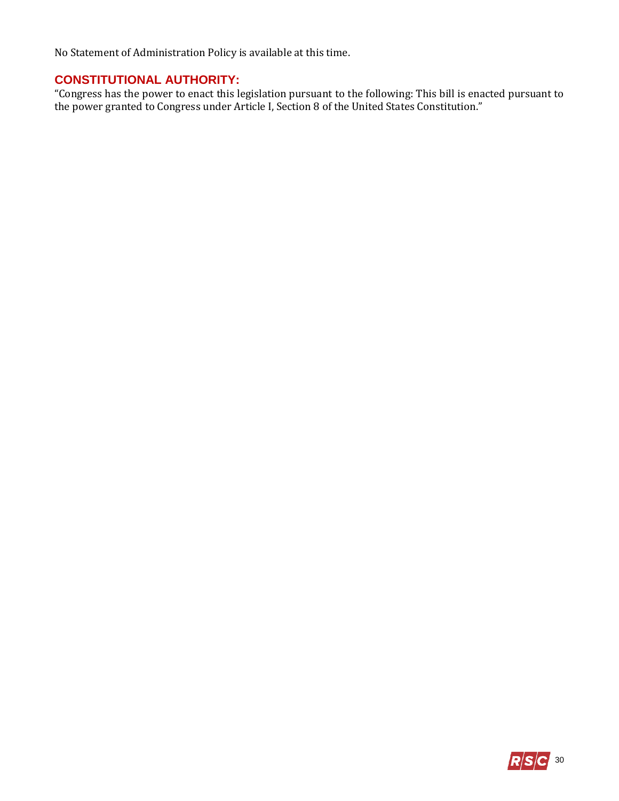No Statement of Administration Policy is available at this time.

## **CONSTITUTIONAL AUTHORITY:**

"Congress has the power to enact this legislation pursuant to the following: This bill is enacted pursuant to the power granted to Congress under Article I, Section 8 of the United States Constitution."

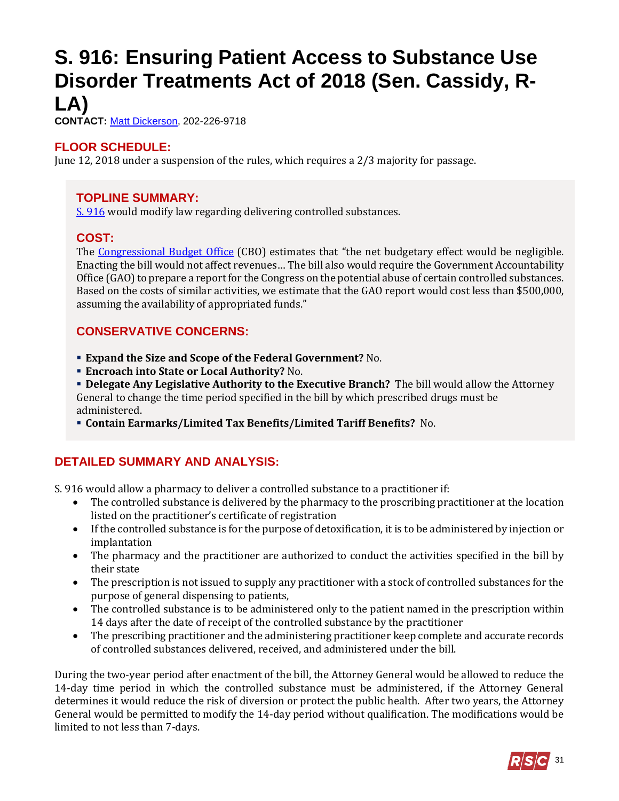## <span id="page-30-0"></span>**S. 916: Ensuring Patient Access to Substance Use Disorder Treatments Act of 2018 (Sen. Cassidy, R-LA)**

**CONTACT:** [Matt Dickerson,](mailto:Matthew.Dickerson@mail.house.gov) 202-226-9718

## **FLOOR SCHEDULE:**

June 12, 2018 under a suspension of the rules, which requires a 2/3 majority for passage.

## **TOPLINE SUMMARY:**

[S. 916](https://www.gpo.gov/fdsys/pkg/BILLS-115s916es/pdf/BILLS-115s916es.pdf) would modify law regarding delivering controlled substances.

### **COST:**

The [Congressional Budget Office](https://www.cbo.gov/system/files/115th-congress-2017-2018/costestimate/s916.pdf) (CBO) estimates that "the net budgetary effect would be negligible. Enacting the bill would not affect revenues… The bill also would require the Government Accountability Office (GAO) to prepare a report for the Congress on the potential abuse of certain controlled substances. Based on the costs of similar activities, we estimate that the GAO report would cost less than \$500,000, assuming the availability of appropriated funds."

## **CONSERVATIVE CONCERNS:**

- **Expand the Size and Scope of the Federal Government?** No.
- **Encroach into State or Local Authority?** No.

 **Delegate Any Legislative Authority to the Executive Branch?** The bill would allow the Attorney General to change the time period specified in the bill by which prescribed drugs must be administered.

**Contain Earmarks/Limited Tax Benefits/Limited Tariff Benefits?** No.

## **DETAILED SUMMARY AND ANALYSIS:**

S. 916 would allow a pharmacy to deliver a controlled substance to a practitioner if:

- The controlled substance is delivered by the pharmacy to the proscribing practitioner at the location listed on the practitioner's certificate of registration
- If the controlled substance is for the purpose of detoxification, it is to be administered by injection or implantation
- The pharmacy and the practitioner are authorized to conduct the activities specified in the bill by their state
- The prescription is not issued to supply any practitioner with a stock of controlled substances for the purpose of general dispensing to patients,
- The controlled substance is to be administered only to the patient named in the prescription within 14 days after the date of receipt of the controlled substance by the practitioner
- The prescribing practitioner and the administering practitioner keep complete and accurate records of controlled substances delivered, received, and administered under the bill.

During the two-year period after enactment of the bill, the Attorney General would be allowed to reduce the 14-day time period in which the controlled substance must be administered, if the Attorney General determines it would reduce the risk of diversion or protect the public health. After two years, the Attorney General would be permitted to modify the 14-day period without qualification. The modifications would be limited to not less than 7-days.

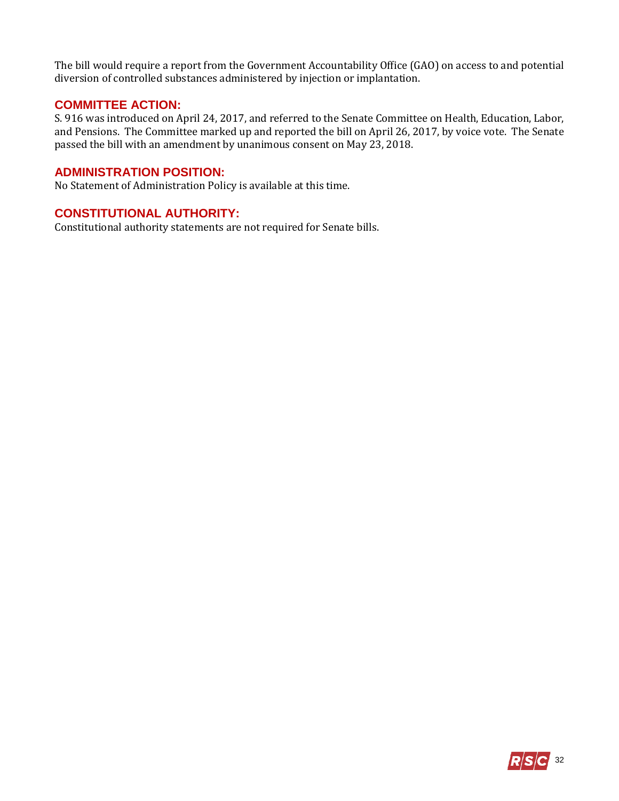The bill would require a report from the Government Accountability Office (GAO) on access to and potential diversion of controlled substances administered by injection or implantation.

### **COMMITTEE ACTION:**

S. 916 was introduced on April 24, 2017, and referred to the Senate Committee on Health, Education, Labor, and Pensions. The Committee marked up and reported the bill on April 26, 2017, by voice vote. The Senate passed the bill with an amendment by unanimous consent on May 23, 2018.

#### **ADMINISTRATION POSITION:**

No Statement of Administration Policy is available at this time.

## **CONSTITUTIONAL AUTHORITY:**

Constitutional authority statements are not required for Senate bills.

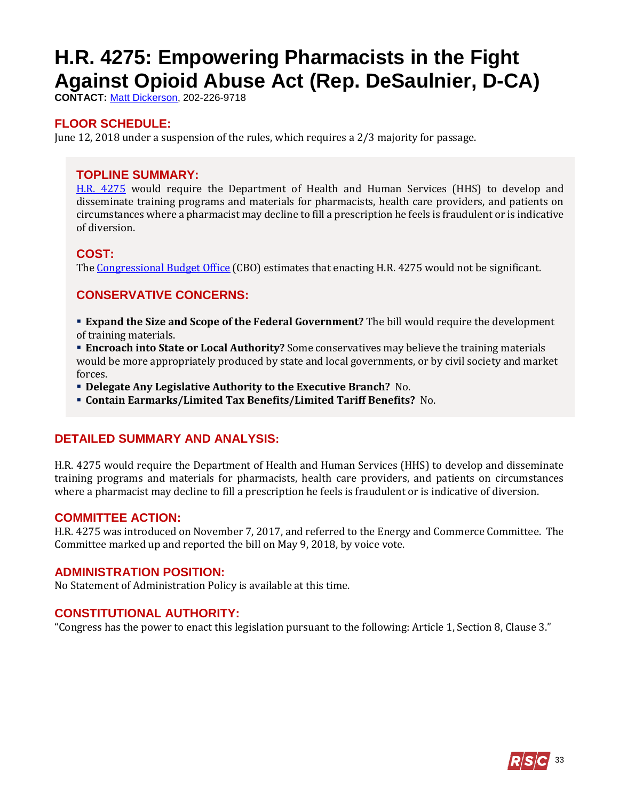# <span id="page-32-0"></span>**H.R. 4275: Empowering Pharmacists in the Fight Against Opioid Abuse Act (Rep. DeSaulnier, D-CA)**

**CONTACT:** [Matt Dickerson,](mailto:Matthew.Dickerson@mail.house.gov) 202-226-9718

## **FLOOR SCHEDULE:**

June 12, 2018 under a suspension of the rules, which requires a 2/3 majority for passage.

### **TOPLINE SUMMARY:**

[H.R. 4275](https://docs.house.gov/billsthisweek/20180611/HR4275.pdf) would require the Department of Health and Human Services (HHS) to develop and disseminate training programs and materials for pharmacists, health care providers, and patients on circumstances where a pharmacist may decline to fill a prescription he feels is fraudulent or is indicative of diversion.

### **COST:**

The [Congressional Budget Office](https://www.cbo.gov/system/files/115th-congress-2017-2018/costestimate/53949-opioid.pdf) (CBO) estimates that enacting H.R. 4275 would not be significant.

## **CONSERVATIVE CONCERNS:**

 **Expand the Size and Scope of the Federal Government?** The bill would require the development of training materials.

**Encroach into State or Local Authority?** Some conservatives may believe the training materials would be more appropriately produced by state and local governments, or by civil society and market forces.

**Delegate Any Legislative Authority to the Executive Branch?** No.

**Contain Earmarks/Limited Tax Benefits/Limited Tariff Benefits?** No.

## **DETAILED SUMMARY AND ANALYSIS:**

H.R. 4275 would require the Department of Health and Human Services (HHS) to develop and disseminate training programs and materials for pharmacists, health care providers, and patients on circumstances where a pharmacist may decline to fill a prescription he feels is fraudulent or is indicative of diversion.

#### **COMMITTEE ACTION:**

H.R. 4275 was introduced on November 7, 2017, and referred to the Energy and Commerce Committee. The Committee marked up and reported the bill on May 9, 2018, by voice vote.

#### **ADMINISTRATION POSITION:**

No Statement of Administration Policy is available at this time.

## **CONSTITUTIONAL AUTHORITY:**

"Congress has the power to enact this legislation pursuant to the following: Article 1, Section 8, Clause 3."

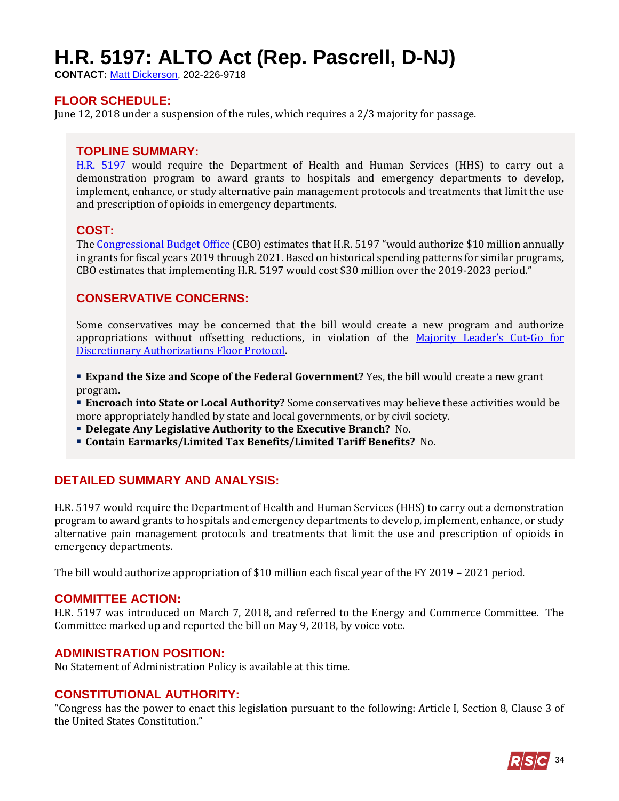# <span id="page-33-0"></span>**H.R. 5197: ALTO Act (Rep. Pascrell, D-NJ)**

**CONTACT:** [Matt Dickerson,](mailto:Matthew.Dickerson@mail.house.gov) 202-226-9718

## **FLOOR SCHEDULE:**

June 12, 2018 under a suspension of the rules, which requires a 2/3 majority for passage.

#### **TOPLINE SUMMARY:**

[H.R. 5197](https://docs.house.gov/billsthisweek/20180611/HR5197.pdf) would require the Department of Health and Human Services (HHS) to carry out a demonstration program to award grants to hospitals and emergency departments to develop, implement, enhance, or study alternative pain management protocols and treatments that limit the use and prescription of opioids in emergency departments.

#### **COST:**

The [Congressional Budget Office](https://www.cbo.gov/system/files/115th-congress-2017-2018/costestimate/53949-opioid.pdf) (CBO) estimates that H.R. 5197 "would authorize \$10 million annually in grants for fiscal years 2019 through 2021. Based on historical spending patterns for similar programs, CBO estimates that implementing H.R. 5197 would cost \$30 million over the 2019-2023 period."

### **CONSERVATIVE CONCERNS:**

Some conservatives may be concerned that the bill would create a new program and authorize appropriations without offsetting reductions, in violation of the [Majority Leader's Cut](https://www.majorityleader.gov/protocols/)-Go for [Discretionary Authorizations Floor Protocol.](https://www.majorityleader.gov/protocols/)

**Expand the Size and Scope of the Federal Government?** Yes, the bill would create a new grant program.

 **Encroach into State or Local Authority?** Some conservatives may believe these activities would be more appropriately handled by state and local governments, or by civil society.

**Delegate Any Legislative Authority to the Executive Branch?** No.

**Contain Earmarks/Limited Tax Benefits/Limited Tariff Benefits?** No.

#### **DETAILED SUMMARY AND ANALYSIS:**

H.R. 5197 would require the Department of Health and Human Services (HHS) to carry out a demonstration program to award grants to hospitals and emergency departments to develop, implement, enhance, or study alternative pain management protocols and treatments that limit the use and prescription of opioids in emergency departments.

The bill would authorize appropriation of \$10 million each fiscal year of the FY 2019 – 2021 period.

#### **COMMITTEE ACTION:**

H.R. 5197 was introduced on March 7, 2018, and referred to the Energy and Commerce Committee. The Committee marked up and reported the bill on May 9, 2018, by voice vote.

#### **ADMINISTRATION POSITION:**

No Statement of Administration Policy is available at this time.

#### **CONSTITUTIONAL AUTHORITY:**

"Congress has the power to enact this legislation pursuant to the following: Article I, Section 8, Clause 3 of the United States Constitution."